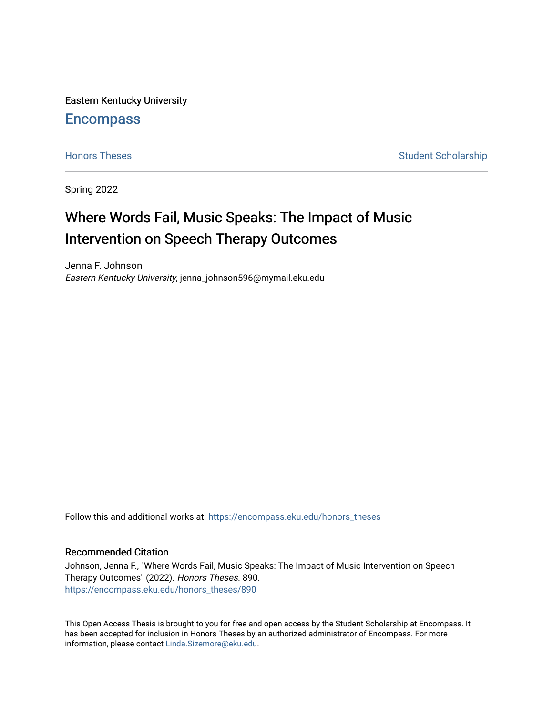Eastern Kentucky University

# **Encompass**

[Honors Theses](https://encompass.eku.edu/honors_theses) **Student Scholarship** Student Scholarship

Spring 2022

# Where Words Fail, Music Speaks: The Impact of Music Intervention on Speech Therapy Outcomes

Jenna F. Johnson Eastern Kentucky University, jenna\_johnson596@mymail.eku.edu

Follow this and additional works at: [https://encompass.eku.edu/honors\\_theses](https://encompass.eku.edu/honors_theses?utm_source=encompass.eku.edu%2Fhonors_theses%2F890&utm_medium=PDF&utm_campaign=PDFCoverPages) 

## Recommended Citation

Johnson, Jenna F., "Where Words Fail, Music Speaks: The Impact of Music Intervention on Speech Therapy Outcomes" (2022). Honors Theses. 890. [https://encompass.eku.edu/honors\\_theses/890](https://encompass.eku.edu/honors_theses/890?utm_source=encompass.eku.edu%2Fhonors_theses%2F890&utm_medium=PDF&utm_campaign=PDFCoverPages) 

This Open Access Thesis is brought to you for free and open access by the Student Scholarship at Encompass. It has been accepted for inclusion in Honors Theses by an authorized administrator of Encompass. For more information, please contact [Linda.Sizemore@eku.edu.](mailto:Linda.Sizemore@eku.edu)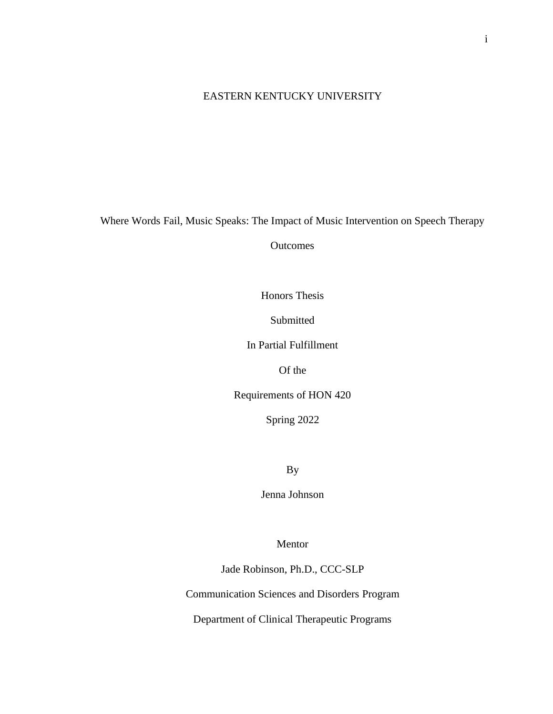# EASTERN KENTUCKY UNIVERSITY

Where Words Fail, Music Speaks: The Impact of Music Intervention on Speech Therapy

**Outcomes** 

Honors Thesis

Submitted

In Partial Fulfillment

Of the

Requirements of HON 420

Spring 2022

By

Jenna Johnson

Mentor

Jade Robinson, Ph.D., CCC-SLP

Communication Sciences and Disorders Program

Department of Clinical Therapeutic Programs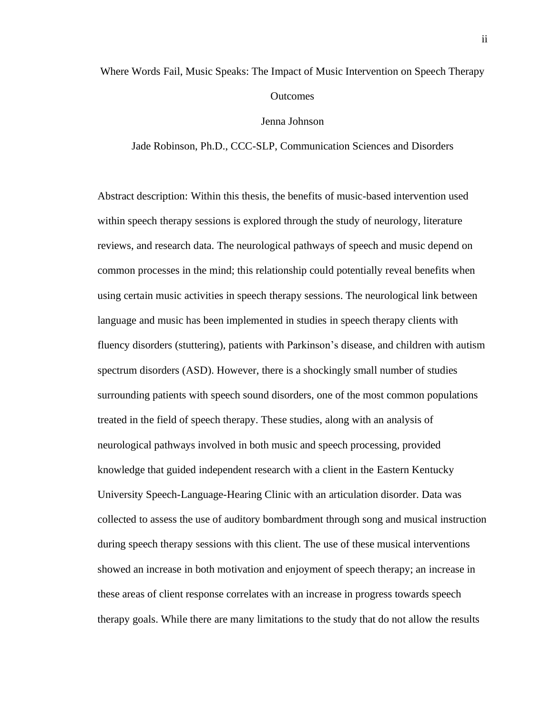# Where Words Fail, Music Speaks: The Impact of Music Intervention on Speech Therapy **Outcomes**

#### Jenna Johnson

Jade Robinson, Ph.D., CCC-SLP, Communication Sciences and Disorders

Abstract description: Within this thesis, the benefits of music-based intervention used within speech therapy sessions is explored through the study of neurology, literature reviews, and research data. The neurological pathways of speech and music depend on common processes in the mind; this relationship could potentially reveal benefits when using certain music activities in speech therapy sessions. The neurological link between language and music has been implemented in studies in speech therapy clients with fluency disorders (stuttering), patients with Parkinson's disease, and children with autism spectrum disorders (ASD). However, there is a shockingly small number of studies surrounding patients with speech sound disorders, one of the most common populations treated in the field of speech therapy. These studies, along with an analysis of neurological pathways involved in both music and speech processing, provided knowledge that guided independent research with a client in the Eastern Kentucky University Speech-Language-Hearing Clinic with an articulation disorder. Data was collected to assess the use of auditory bombardment through song and musical instruction during speech therapy sessions with this client. The use of these musical interventions showed an increase in both motivation and enjoyment of speech therapy; an increase in these areas of client response correlates with an increase in progress towards speech therapy goals. While there are many limitations to the study that do not allow the results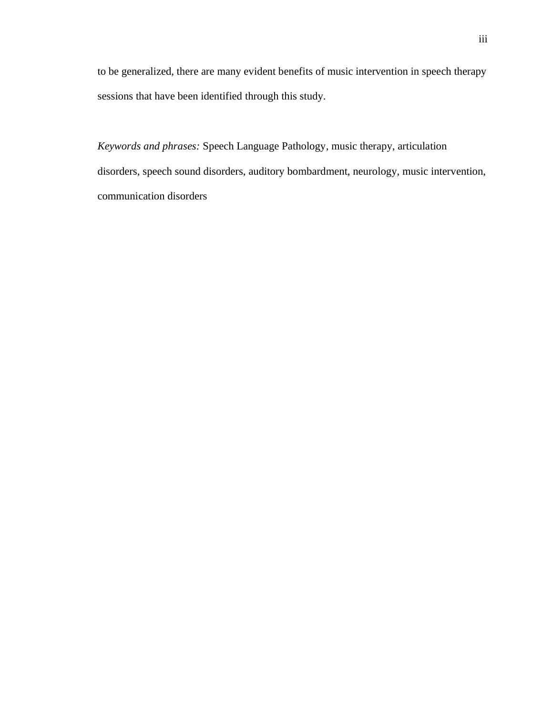to be generalized, there are many evident benefits of music intervention in speech therapy sessions that have been identified through this study.

*Keywords and phrases:* Speech Language Pathology, music therapy, articulation disorders, speech sound disorders, auditory bombardment, neurology, music intervention, communication disorders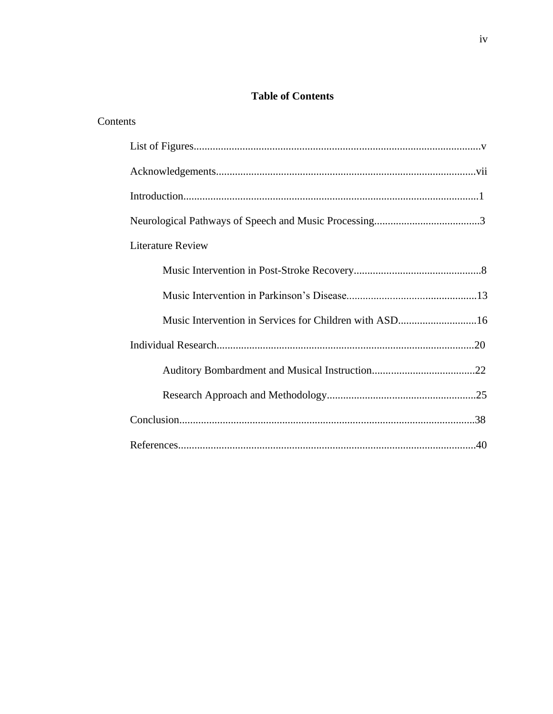# **Table of Contents**

| Contents                 |  |
|--------------------------|--|
|                          |  |
|                          |  |
|                          |  |
|                          |  |
| <b>Literature Review</b> |  |
|                          |  |
|                          |  |
|                          |  |
|                          |  |
|                          |  |
|                          |  |
|                          |  |
|                          |  |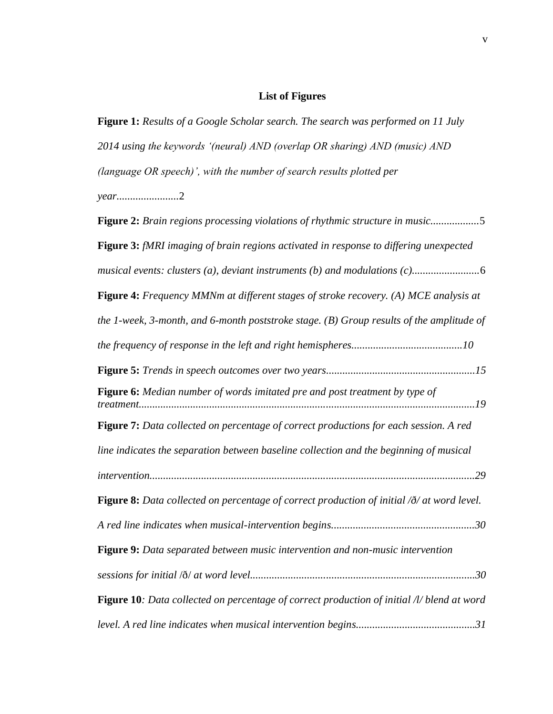# **List of Figures**

**Figure 1:** *Results of a Google Scholar search. The search was performed on 11 July 2014 using the keywords '(neural) AND (overlap OR sharing) AND (music) AND (language OR speech)', with the number of search results plotted per year.......................*2

| <b>Figure 2:</b> Brain regions processing violations of rhythmic structure in music5                   |
|--------------------------------------------------------------------------------------------------------|
| Figure 3: fMRI imaging of brain regions activated in response to differing unexpected                  |
|                                                                                                        |
| Figure 4: Frequency MMNm at different stages of stroke recovery. (A) MCE analysis at                   |
| the 1-week, 3-month, and 6-month poststroke stage. $(B)$ Group results of the amplitude of             |
|                                                                                                        |
|                                                                                                        |
| Figure 6: Median number of words imitated pre and post treatment by type of                            |
| Figure 7: Data collected on percentage of correct productions for each session. A red                  |
| line indicates the separation between baseline collection and the beginning of musical                 |
|                                                                                                        |
| <b>Figure 8:</b> Data collected on percentage of correct production of initial $\delta$ at word level. |
|                                                                                                        |
| Figure 9: Data separated between music intervention and non-music intervention                         |
|                                                                                                        |
| Figure 10: Data collected on percentage of correct production of initial /l/ blend at word             |
|                                                                                                        |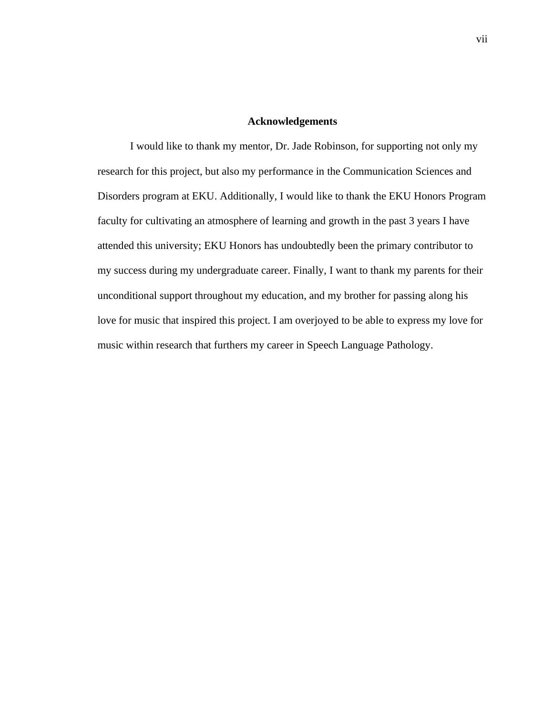#### **Acknowledgements**

I would like to thank my mentor, Dr. Jade Robinson, for supporting not only my research for this project, but also my performance in the Communication Sciences and Disorders program at EKU. Additionally, I would like to thank the EKU Honors Program faculty for cultivating an atmosphere of learning and growth in the past 3 years I have attended this university; EKU Honors has undoubtedly been the primary contributor to my success during my undergraduate career. Finally, I want to thank my parents for their unconditional support throughout my education, and my brother for passing along his love for music that inspired this project. I am overjoyed to be able to express my love for music within research that furthers my career in Speech Language Pathology.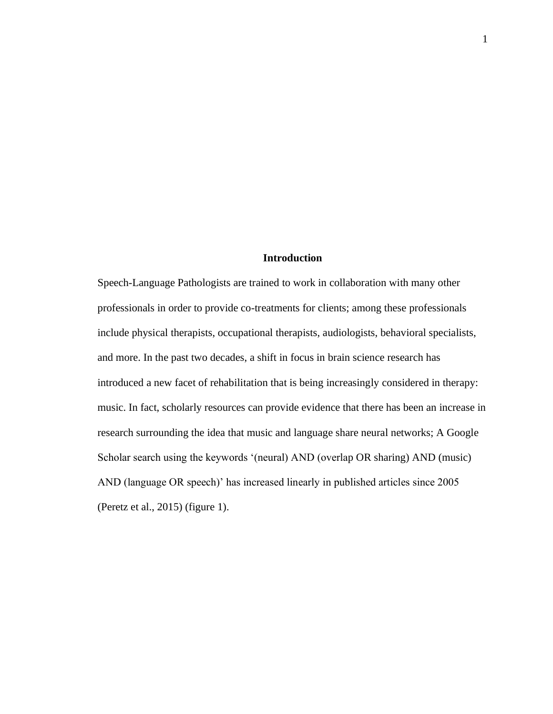# **Introduction**

Speech-Language Pathologists are trained to work in collaboration with many other professionals in order to provide co-treatments for clients; among these professionals include physical therapists, occupational therapists, audiologists, behavioral specialists, and more. In the past two decades, a shift in focus in brain science research has introduced a new facet of rehabilitation that is being increasingly considered in therapy: music. In fact, scholarly resources can provide evidence that there has been an increase in research surrounding the idea that music and language share neural networks; A Google Scholar search using the keywords '(neural) AND (overlap OR sharing) AND (music) AND (language OR speech)' has increased linearly in published articles since 2005 (Peretz et al., 2015) (figure 1).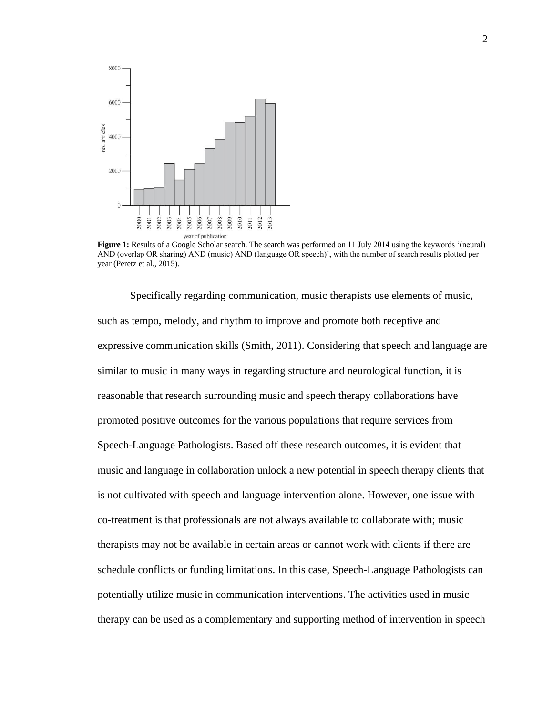

**Figure 1:** Results of a Google Scholar search. The search was performed on 11 July 2014 using the keywords '(neural) AND (overlap OR sharing) AND (music) AND (language OR speech)', with the number of search results plotted per year (Peretz et al., 2015).

Specifically regarding communication, music therapists use elements of music, such as tempo, melody, and rhythm to improve and promote both receptive and expressive communication skills (Smith, 2011). Considering that speech and language are similar to music in many ways in regarding structure and neurological function, it is reasonable that research surrounding music and speech therapy collaborations have promoted positive outcomes for the various populations that require services from Speech-Language Pathologists. Based off these research outcomes, it is evident that music and language in collaboration unlock a new potential in speech therapy clients that is not cultivated with speech and language intervention alone. However, one issue with co-treatment is that professionals are not always available to collaborate with; music therapists may not be available in certain areas or cannot work with clients if there are schedule conflicts or funding limitations. In this case, Speech-Language Pathologists can potentially utilize music in communication interventions. The activities used in music therapy can be used as a complementary and supporting method of intervention in speech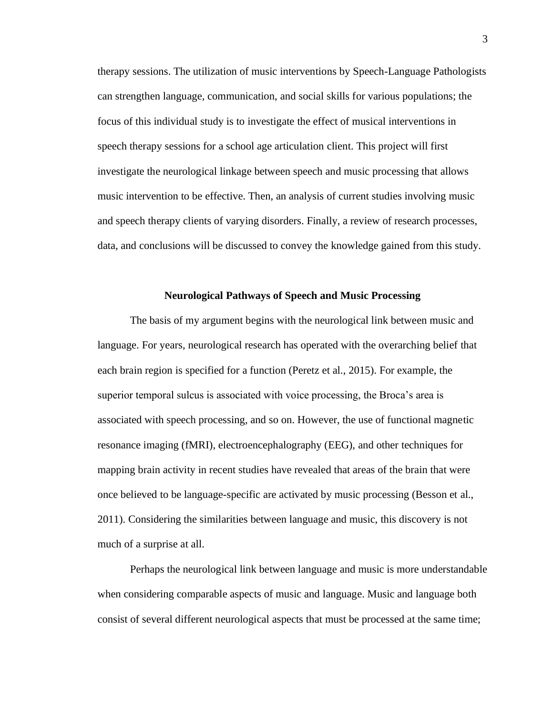therapy sessions. The utilization of music interventions by Speech-Language Pathologists can strengthen language, communication, and social skills for various populations; the focus of this individual study is to investigate the effect of musical interventions in speech therapy sessions for a school age articulation client. This project will first investigate the neurological linkage between speech and music processing that allows music intervention to be effective. Then, an analysis of current studies involving music and speech therapy clients of varying disorders. Finally, a review of research processes, data, and conclusions will be discussed to convey the knowledge gained from this study.

#### **Neurological Pathways of Speech and Music Processing**

The basis of my argument begins with the neurological link between music and language. For years, neurological research has operated with the overarching belief that each brain region is specified for a function (Peretz et al., 2015). For example, the superior temporal sulcus is associated with voice processing, the Broca's area is associated with speech processing, and so on. However, the use of functional magnetic resonance imaging (fMRI), electroencephalography (EEG), and other techniques for mapping brain activity in recent studies have revealed that areas of the brain that were once believed to be language-specific are activated by music processing (Besson et al., 2011). Considering the similarities between language and music, this discovery is not much of a surprise at all.

Perhaps the neurological link between language and music is more understandable when considering comparable aspects of music and language. Music and language both consist of several different neurological aspects that must be processed at the same time;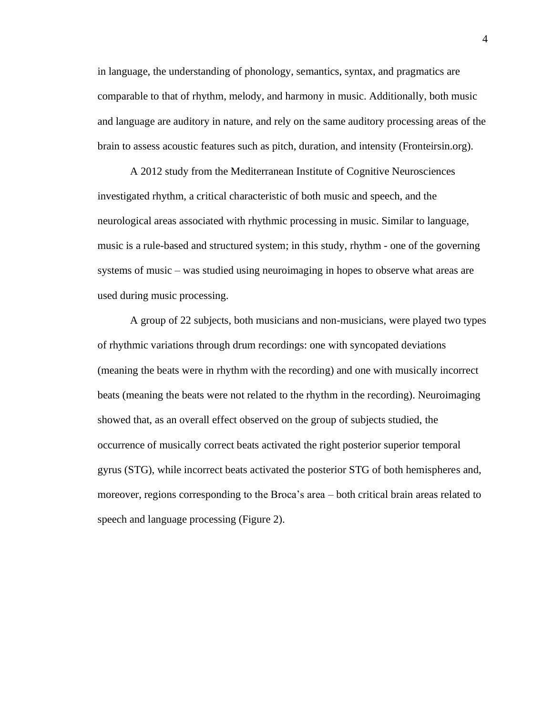in language, the understanding of phonology, semantics, syntax, and pragmatics are comparable to that of rhythm, melody, and harmony in music. Additionally, both music and language are auditory in nature, and rely on the same auditory processing areas of the brain to assess acoustic features such as pitch, duration, and intensity (Fronteirsin.org).

A 2012 study from the Mediterranean Institute of Cognitive Neurosciences investigated rhythm, a critical characteristic of both music and speech, and the neurological areas associated with rhythmic processing in music. Similar to language, music is a rule-based and structured system; in this study, rhythm - one of the governing systems of music – was studied using neuroimaging in hopes to observe what areas are used during music processing.

A group of 22 subjects, both musicians and non-musicians, were played two types of rhythmic variations through drum recordings: one with syncopated deviations (meaning the beats were in rhythm with the recording) and one with musically incorrect beats (meaning the beats were not related to the rhythm in the recording). Neuroimaging showed that, as an overall effect observed on the group of subjects studied, the occurrence of musically correct beats activated the right posterior superior temporal gyrus (STG), while incorrect beats activated the posterior STG of both hemispheres and, moreover, regions corresponding to the Broca's area – both critical brain areas related to speech and language processing (Figure 2).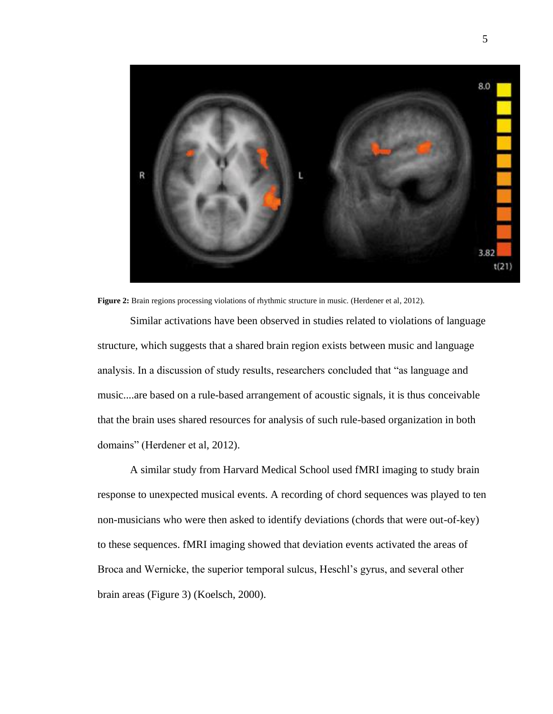

**Figure 2:** Brain regions processing violations of rhythmic structure in music. (Herdener et al, 2012).

Similar activations have been observed in studies related to violations of language structure, which suggests that a shared brain region exists between music and language analysis. In a discussion of study results, researchers concluded that "as language and music....are based on a rule-based arrangement of acoustic signals, it is thus conceivable that the brain uses shared resources for analysis of such rule-based organization in both domains" (Herdener et al, 2012).

A similar study from Harvard Medical School used fMRI imaging to study brain response to unexpected musical events. A recording of chord sequences was played to ten non-musicians who were then asked to identify deviations (chords that were out-of-key) to these sequences. fMRI imaging showed that deviation events activated the areas of Broca and Wernicke, the superior temporal sulcus, Heschl's gyrus, and several other brain areas (Figure 3) (Koelsch, 2000).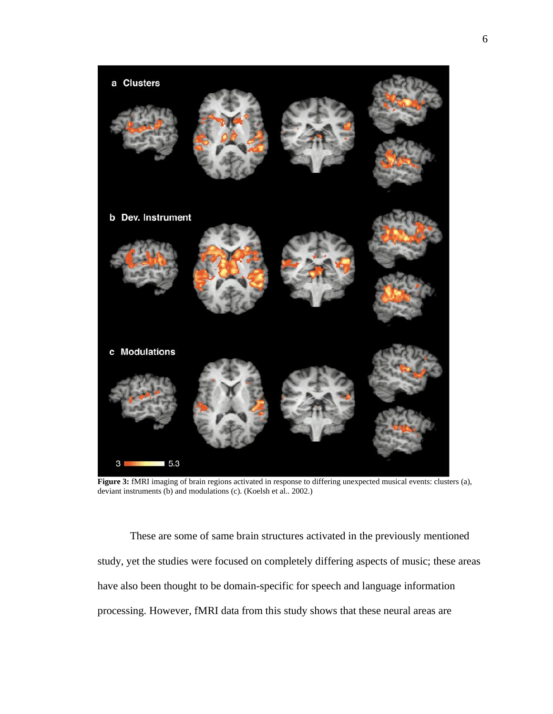

**Figure 3:** fMRI imaging of brain regions activated in response to differing unexpected musical events: clusters (a), deviant instruments (b) and modulations (c). (Koelsh et al.. 2002.)

These are some of same brain structures activated in the previously mentioned study, yet the studies were focused on completely differing aspects of music; these areas have also been thought to be domain-specific for speech and language information processing. However, fMRI data from this study shows that these neural areas are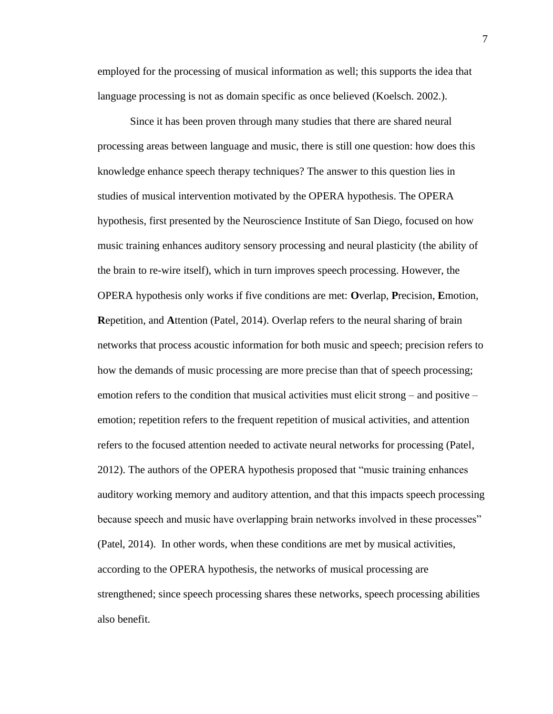employed for the processing of musical information as well; this supports the idea that language processing is not as domain specific as once believed (Koelsch. 2002.).

Since it has been proven through many studies that there are shared neural processing areas between language and music, there is still one question: how does this knowledge enhance speech therapy techniques? The answer to this question lies in studies of musical intervention motivated by the OPERA hypothesis. The OPERA hypothesis, first presented by the Neuroscience Institute of San Diego, focused on how music training enhances auditory sensory processing and neural plasticity (the ability of the brain to re-wire itself), which in turn improves speech processing. However, the OPERA hypothesis only works if five conditions are met: **O**verlap, **P**recision, **E**motion, **R**epetition, and **A**ttention (Patel, 2014). Overlap refers to the neural sharing of brain networks that process acoustic information for both music and speech; precision refers to how the demands of music processing are more precise than that of speech processing; emotion refers to the condition that musical activities must elicit strong – and positive – emotion; repetition refers to the frequent repetition of musical activities, and attention refers to the focused attention needed to activate neural networks for processing (Patel, 2012). The authors of the OPERA hypothesis proposed that "music training enhances auditory working memory and auditory attention, and that this impacts speech processing because speech and music have overlapping brain networks involved in these processes" (Patel, 2014). In other words, when these conditions are met by musical activities, according to the OPERA hypothesis, the networks of musical processing are strengthened; since speech processing shares these networks, speech processing abilities also benefit.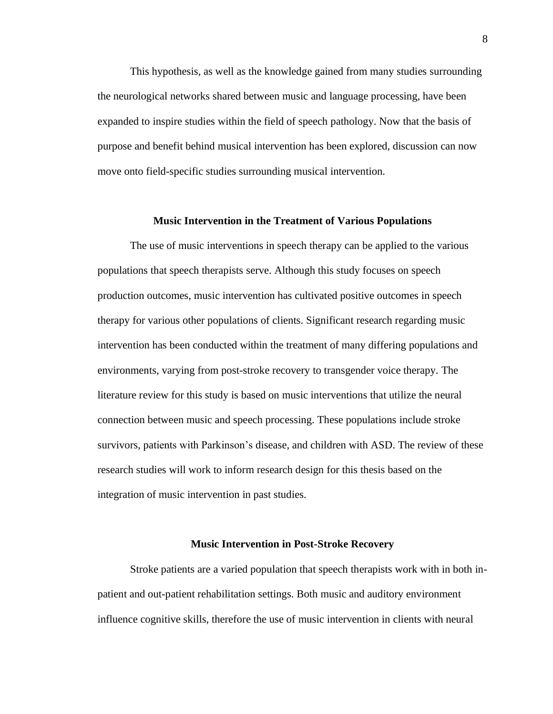This hypothesis, as well as the knowledge gained from many studies surrounding the neurological networks shared between music and language processing, have been expanded to inspire studies within the field of speech pathology. Now that the basis of purpose and benefit behind musical intervention has been explored, discussion can now move onto field-specific studies surrounding musical intervention.

#### **Music Intervention in the Treatment of Various Populations**

The use of music interventions in speech therapy can be applied to the various populations that speech therapists serve. Although this study focuses on speech production outcomes, music intervention has cultivated positive outcomes in speech therapy for various other populations of clients. Significant research regarding music intervention has been conducted within the treatment of many differing populations and environments, varying from post-stroke recovery to transgender voice therapy. The literature review for this study is based on music interventions that utilize the neural connection between music and speech processing. These populations include stroke survivors, patients with Parkinson's disease, and children with ASD. The review of these research studies will work to inform research design for this thesis based on the integration of music intervention in past studies.

#### **Music Intervention in Post-Stroke Recovery**

Stroke patients are a varied population that speech therapists work with in both inpatient and out-patient rehabilitation settings. Both music and auditory environment influence cognitive skills, therefore the use of music intervention in clients with neural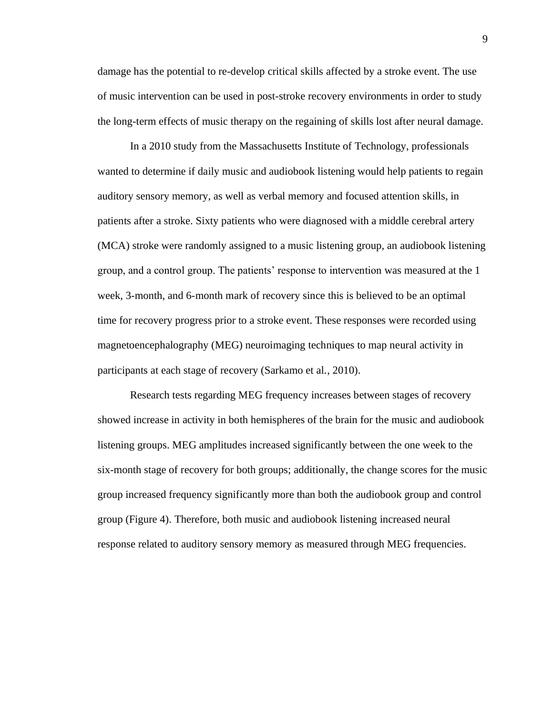damage has the potential to re-develop critical skills affected by a stroke event. The use of music intervention can be used in post-stroke recovery environments in order to study the long-term effects of music therapy on the regaining of skills lost after neural damage.

In a 2010 study from the Massachusetts Institute of Technology, professionals wanted to determine if daily music and audiobook listening would help patients to regain auditory sensory memory, as well as verbal memory and focused attention skills, in patients after a stroke. Sixty patients who were diagnosed with a middle cerebral artery (MCA) stroke were randomly assigned to a music listening group, an audiobook listening group, and a control group. The patients' response to intervention was measured at the 1 week, 3-month, and 6-month mark of recovery since this is believed to be an optimal time for recovery progress prior to a stroke event. These responses were recorded using magnetoencephalography (MEG) neuroimaging techniques to map neural activity in participants at each stage of recovery (Sarkamo et al., 2010).

Research tests regarding MEG frequency increases between stages of recovery showed increase in activity in both hemispheres of the brain for the music and audiobook listening groups. MEG amplitudes increased significantly between the one week to the six-month stage of recovery for both groups; additionally, the change scores for the music group increased frequency significantly more than both the audiobook group and control group (Figure 4). Therefore, both music and audiobook listening increased neural response related to auditory sensory memory as measured through MEG frequencies.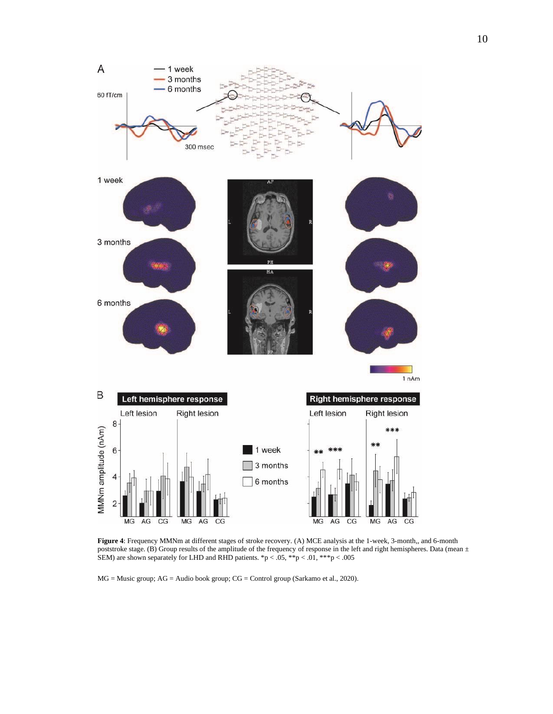

**Figure 4**: Frequency MMNm at different stages of stroke recovery. (A) MCE analysis at the 1-week, 3-month,, and 6-month poststroke stage. (B) Group results of the amplitude of the frequency of response in the left and right hemispheres. Data (mean  $\pm$ SEM) are shown separately for LHD and RHD patients. \*p < .05, \*\*p < .01, \*\*\*p < .005

MG = Music group; AG = Audio book group; CG = Control group (Sarkamo et al., 2020).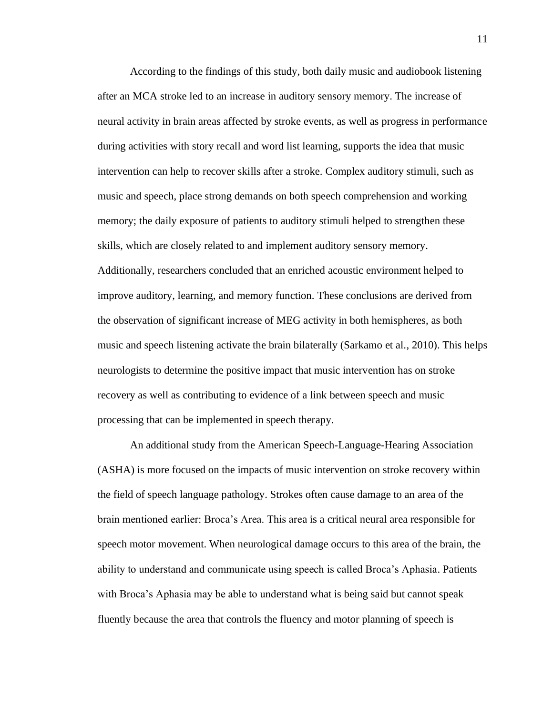According to the findings of this study, both daily music and audiobook listening after an MCA stroke led to an increase in auditory sensory memory. The increase of neural activity in brain areas affected by stroke events, as well as progress in performance during activities with story recall and word list learning, supports the idea that music intervention can help to recover skills after a stroke. Complex auditory stimuli, such as music and speech, place strong demands on both speech comprehension and working memory; the daily exposure of patients to auditory stimuli helped to strengthen these skills, which are closely related to and implement auditory sensory memory. Additionally, researchers concluded that an enriched acoustic environment helped to improve auditory, learning, and memory function. These conclusions are derived from the observation of significant increase of MEG activity in both hemispheres, as both music and speech listening activate the brain bilaterally (Sarkamo et al., 2010). This helps neurologists to determine the positive impact that music intervention has on stroke recovery as well as contributing to evidence of a link between speech and music processing that can be implemented in speech therapy.

An additional study from the American Speech-Language-Hearing Association (ASHA) is more focused on the impacts of music intervention on stroke recovery within the field of speech language pathology. Strokes often cause damage to an area of the brain mentioned earlier: Broca's Area. This area is a critical neural area responsible for speech motor movement. When neurological damage occurs to this area of the brain, the ability to understand and communicate using speech is called Broca's Aphasia. Patients with Broca's Aphasia may be able to understand what is being said but cannot speak fluently because the area that controls the fluency and motor planning of speech is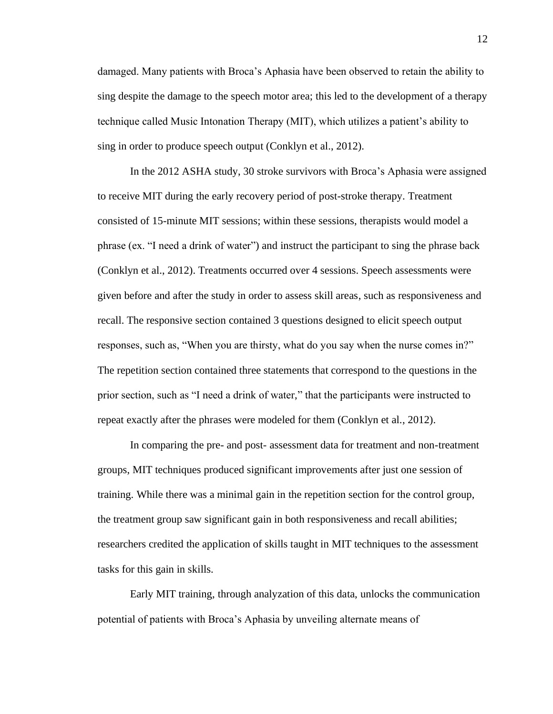damaged. Many patients with Broca's Aphasia have been observed to retain the ability to sing despite the damage to the speech motor area; this led to the development of a therapy technique called Music Intonation Therapy (MIT), which utilizes a patient's ability to sing in order to produce speech output (Conklyn et al., 2012).

In the 2012 ASHA study, 30 stroke survivors with Broca's Aphasia were assigned to receive MIT during the early recovery period of post-stroke therapy. Treatment consisted of 15-minute MIT sessions; within these sessions, therapists would model a phrase (ex. "I need a drink of water") and instruct the participant to sing the phrase back (Conklyn et al., 2012). Treatments occurred over 4 sessions. Speech assessments were given before and after the study in order to assess skill areas, such as responsiveness and recall. The responsive section contained 3 questions designed to elicit speech output responses, such as, "When you are thirsty, what do you say when the nurse comes in?" The repetition section contained three statements that correspond to the questions in the prior section, such as "I need a drink of water," that the participants were instructed to repeat exactly after the phrases were modeled for them (Conklyn et al., 2012).

In comparing the pre- and post- assessment data for treatment and non-treatment groups, MIT techniques produced significant improvements after just one session of training. While there was a minimal gain in the repetition section for the control group, the treatment group saw significant gain in both responsiveness and recall abilities; researchers credited the application of skills taught in MIT techniques to the assessment tasks for this gain in skills.

Early MIT training, through analyzation of this data, unlocks the communication potential of patients with Broca's Aphasia by unveiling alternate means of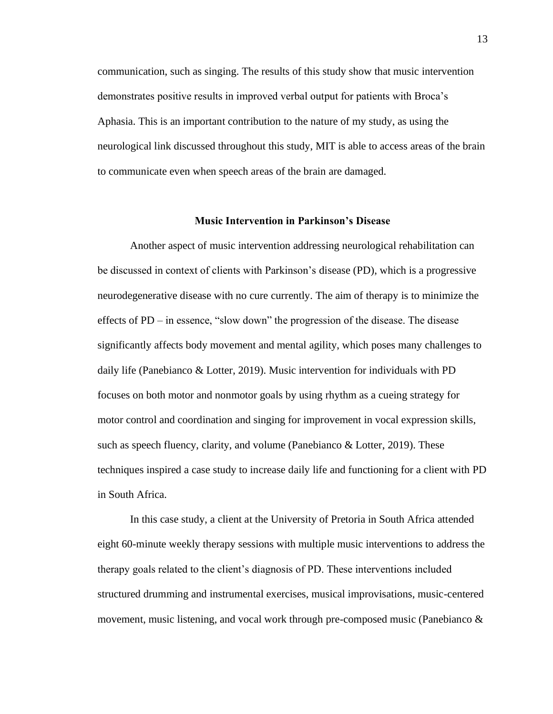communication, such as singing. The results of this study show that music intervention demonstrates positive results in improved verbal output for patients with Broca's Aphasia. This is an important contribution to the nature of my study, as using the neurological link discussed throughout this study, MIT is able to access areas of the brain to communicate even when speech areas of the brain are damaged.

#### **Music Intervention in Parkinson's Disease**

Another aspect of music intervention addressing neurological rehabilitation can be discussed in context of clients with Parkinson's disease (PD), which is a progressive neurodegenerative disease with no cure currently. The aim of therapy is to minimize the effects of PD – in essence, "slow down" the progression of the disease. The disease significantly affects body movement and mental agility, which poses many challenges to daily life (Panebianco & Lotter, 2019). Music intervention for individuals with PD focuses on both motor and nonmotor goals by using rhythm as a cueing strategy for motor control and coordination and singing for improvement in vocal expression skills, such as speech fluency, clarity, and volume (Panebianco & Lotter, 2019). These techniques inspired a case study to increase daily life and functioning for a client with PD in South Africa.

In this case study, a client at the University of Pretoria in South Africa attended eight 60-minute weekly therapy sessions with multiple music interventions to address the therapy goals related to the client's diagnosis of PD. These interventions included structured drumming and instrumental exercises, musical improvisations, music-centered movement, music listening, and vocal work through pre-composed music (Panebianco &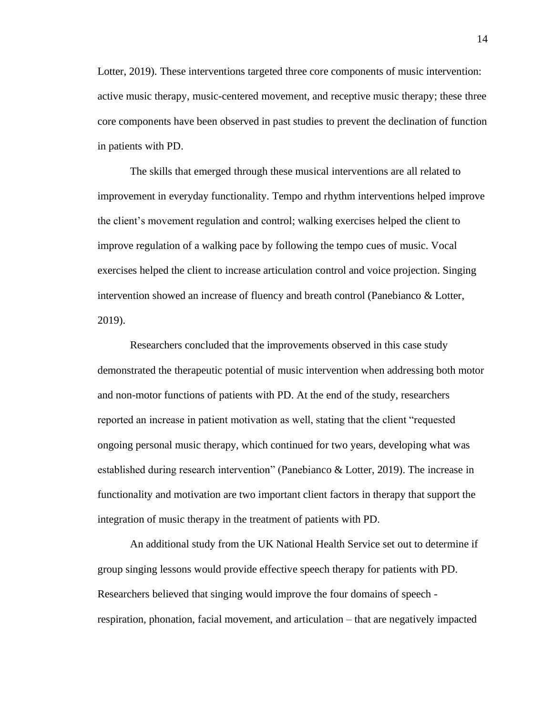Lotter, 2019). These interventions targeted three core components of music intervention: active music therapy, music-centered movement, and receptive music therapy; these three core components have been observed in past studies to prevent the declination of function in patients with PD.

The skills that emerged through these musical interventions are all related to improvement in everyday functionality. Tempo and rhythm interventions helped improve the client's movement regulation and control; walking exercises helped the client to improve regulation of a walking pace by following the tempo cues of music. Vocal exercises helped the client to increase articulation control and voice projection. Singing intervention showed an increase of fluency and breath control (Panebianco & Lotter, 2019).

Researchers concluded that the improvements observed in this case study demonstrated the therapeutic potential of music intervention when addressing both motor and non-motor functions of patients with PD. At the end of the study, researchers reported an increase in patient motivation as well, stating that the client "requested ongoing personal music therapy, which continued for two years, developing what was established during research intervention" (Panebianco & Lotter, 2019). The increase in functionality and motivation are two important client factors in therapy that support the integration of music therapy in the treatment of patients with PD.

An additional study from the UK National Health Service set out to determine if group singing lessons would provide effective speech therapy for patients with PD. Researchers believed that singing would improve the four domains of speech respiration, phonation, facial movement, and articulation – that are negatively impacted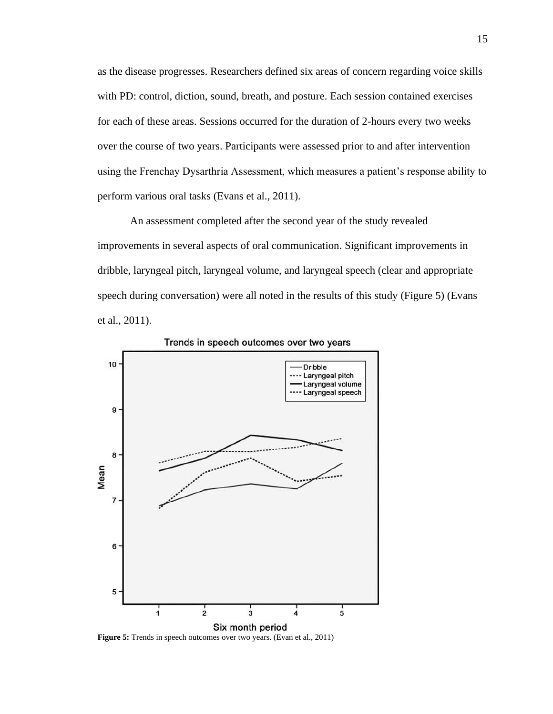as the disease progresses. Researchers defined six areas of concern regarding voice skills with PD: control, diction, sound, breath, and posture. Each session contained exercises for each of these areas. Sessions occurred for the duration of 2-hours every two weeks over the course of two years. Participants were assessed prior to and after intervention using the Frenchay Dysarthria Assessment, which measures a patient's response ability to perform various oral tasks (Evans et al., 2011).

An assessment completed after the second year of the study revealed improvements in several aspects of oral communication. Significant improvements in dribble, laryngeal pitch, laryngeal volume, and laryngeal speech (clear and appropriate speech during conversation) were all noted in the results of this study (Figure 5) (Evans et al., 2011).



Trends in speech outcomes over two years

**Figure 5:** Trends in speech outcomes over two years. (Evan et al., 2011)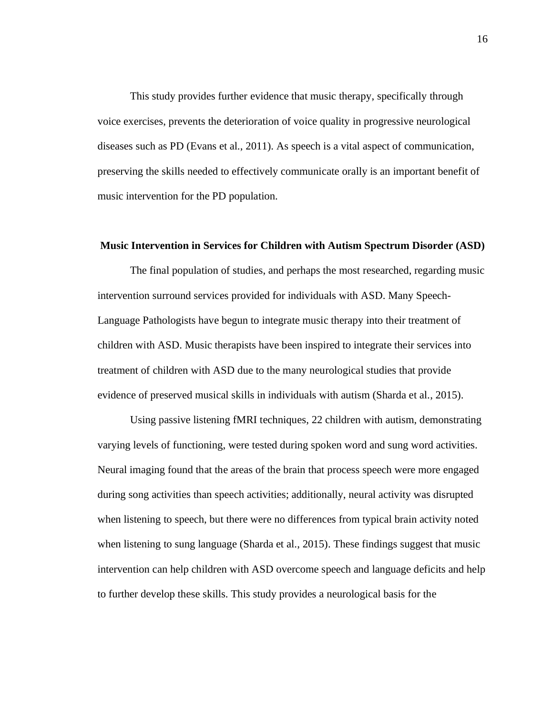This study provides further evidence that music therapy, specifically through voice exercises, prevents the deterioration of voice quality in progressive neurological diseases such as PD (Evans et al., 2011). As speech is a vital aspect of communication, preserving the skills needed to effectively communicate orally is an important benefit of music intervention for the PD population.

#### **Music Intervention in Services for Children with Autism Spectrum Disorder (ASD)**

The final population of studies, and perhaps the most researched, regarding music intervention surround services provided for individuals with ASD. Many Speech-Language Pathologists have begun to integrate music therapy into their treatment of children with ASD. Music therapists have been inspired to integrate their services into treatment of children with ASD due to the many neurological studies that provide evidence of preserved musical skills in individuals with autism (Sharda et al., 2015).

Using passive listening fMRI techniques, 22 children with autism, demonstrating varying levels of functioning, were tested during spoken word and sung word activities. Neural imaging found that the areas of the brain that process speech were more engaged during song activities than speech activities; additionally, neural activity was disrupted when listening to speech, but there were no differences from typical brain activity noted when listening to sung language (Sharda et al., 2015). These findings suggest that music intervention can help children with ASD overcome speech and language deficits and help to further develop these skills. This study provides a neurological basis for the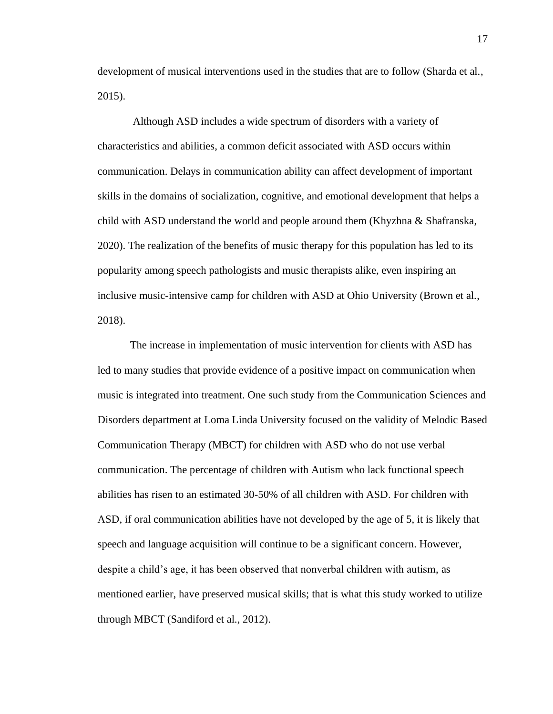development of musical interventions used in the studies that are to follow (Sharda et al., 2015).

Although ASD includes a wide spectrum of disorders with a variety of characteristics and abilities, a common deficit associated with ASD occurs within communication. Delays in communication ability can affect development of important skills in the domains of socialization, cognitive, and emotional development that helps a child with ASD understand the world and people around them (Khyzhna & Shafranska, 2020). The realization of the benefits of music therapy for this population has led to its popularity among speech pathologists and music therapists alike, even inspiring an inclusive music-intensive camp for children with ASD at Ohio University (Brown et al., 2018).

The increase in implementation of music intervention for clients with ASD has led to many studies that provide evidence of a positive impact on communication when music is integrated into treatment. One such study from the Communication Sciences and Disorders department at Loma Linda University focused on the validity of Melodic Based Communication Therapy (MBCT) for children with ASD who do not use verbal communication. The percentage of children with Autism who lack functional speech abilities has risen to an estimated 30-50% of all children with ASD. For children with ASD, if oral communication abilities have not developed by the age of 5, it is likely that speech and language acquisition will continue to be a significant concern. However, despite a child's age, it has been observed that nonverbal children with autism, as mentioned earlier, have preserved musical skills; that is what this study worked to utilize through MBCT (Sandiford et al., 2012).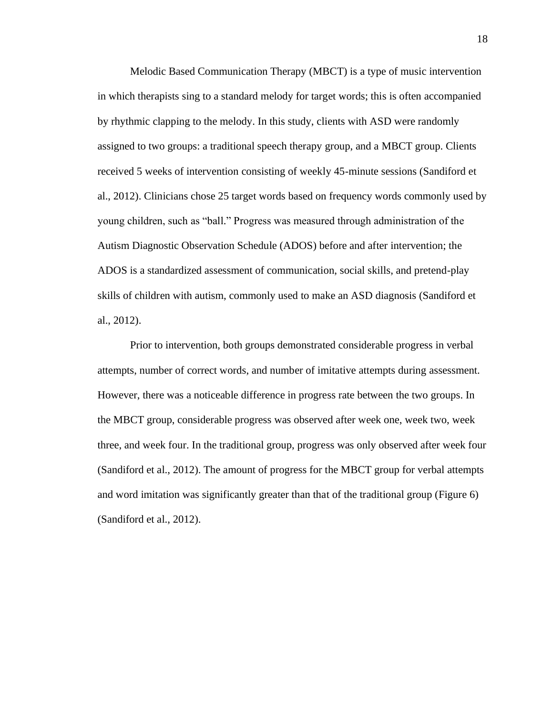Melodic Based Communication Therapy (MBCT) is a type of music intervention in which therapists sing to a standard melody for target words; this is often accompanied by rhythmic clapping to the melody. In this study, clients with ASD were randomly assigned to two groups: a traditional speech therapy group, and a MBCT group. Clients received 5 weeks of intervention consisting of weekly 45-minute sessions (Sandiford et al., 2012). Clinicians chose 25 target words based on frequency words commonly used by young children, such as "ball." Progress was measured through administration of the Autism Diagnostic Observation Schedule (ADOS) before and after intervention; the ADOS is a standardized assessment of communication, social skills, and pretend-play skills of children with autism, commonly used to make an ASD diagnosis (Sandiford et al., 2012).

Prior to intervention, both groups demonstrated considerable progress in verbal attempts, number of correct words, and number of imitative attempts during assessment. However, there was a noticeable difference in progress rate between the two groups. In the MBCT group, considerable progress was observed after week one, week two, week three, and week four. In the traditional group, progress was only observed after week four (Sandiford et al., 2012). The amount of progress for the MBCT group for verbal attempts and word imitation was significantly greater than that of the traditional group (Figure 6) (Sandiford et al., 2012).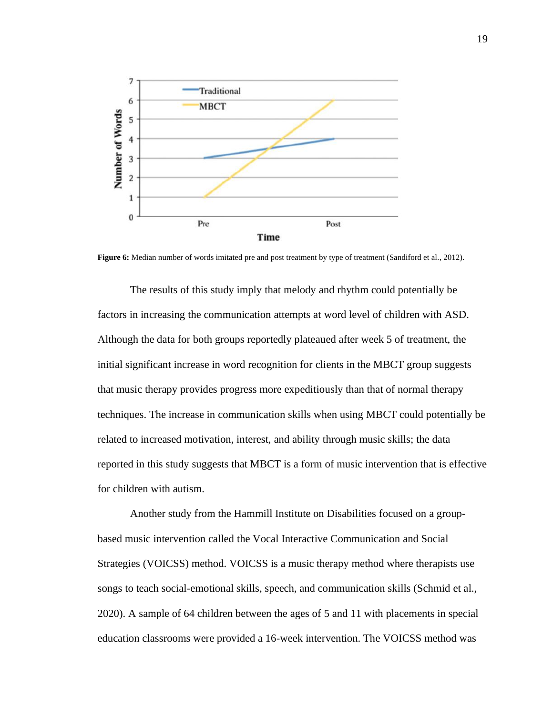

Figure 6: Median number of words imitated pre and post treatment by type of treatment (Sandiford et al., 2012).

The results of this study imply that melody and rhythm could potentially be factors in increasing the communication attempts at word level of children with ASD. Although the data for both groups reportedly plateaued after week 5 of treatment, the initial significant increase in word recognition for clients in the MBCT group suggests that music therapy provides progress more expeditiously than that of normal therapy techniques. The increase in communication skills when using MBCT could potentially be related to increased motivation, interest, and ability through music skills; the data reported in this study suggests that MBCT is a form of music intervention that is effective for children with autism.

Another study from the Hammill Institute on Disabilities focused on a groupbased music intervention called the Vocal Interactive Communication and Social Strategies (VOICSS) method. VOICSS is a music therapy method where therapists use songs to teach social-emotional skills, speech, and communication skills (Schmid et al., 2020). A sample of 64 children between the ages of 5 and 11 with placements in special education classrooms were provided a 16-week intervention. The VOICSS method was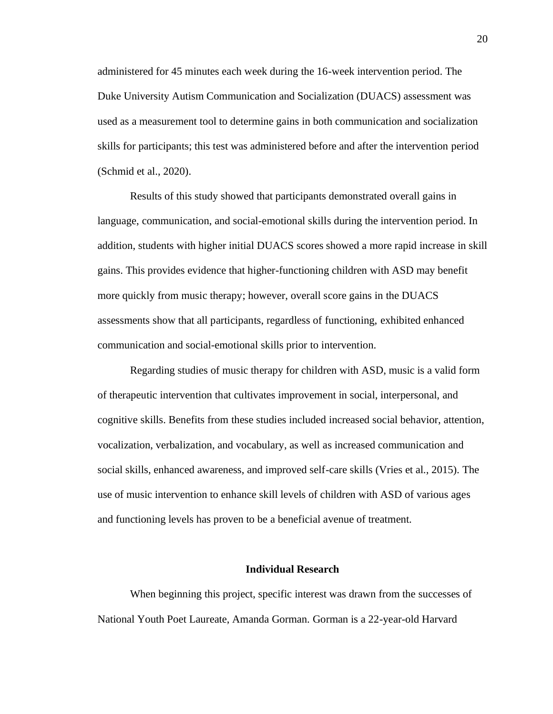administered for 45 minutes each week during the 16-week intervention period. The Duke University Autism Communication and Socialization (DUACS) assessment was used as a measurement tool to determine gains in both communication and socialization skills for participants; this test was administered before and after the intervention period (Schmid et al., 2020).

Results of this study showed that participants demonstrated overall gains in language, communication, and social-emotional skills during the intervention period. In addition, students with higher initial DUACS scores showed a more rapid increase in skill gains. This provides evidence that higher-functioning children with ASD may benefit more quickly from music therapy; however, overall score gains in the DUACS assessments show that all participants, regardless of functioning, exhibited enhanced communication and social-emotional skills prior to intervention.

Regarding studies of music therapy for children with ASD, music is a valid form of therapeutic intervention that cultivates improvement in social, interpersonal, and cognitive skills. Benefits from these studies included increased social behavior, attention, vocalization, verbalization, and vocabulary, as well as increased communication and social skills, enhanced awareness, and improved self-care skills (Vries et al., 2015). The use of music intervention to enhance skill levels of children with ASD of various ages and functioning levels has proven to be a beneficial avenue of treatment.

#### **Individual Research**

When beginning this project, specific interest was drawn from the successes of National Youth Poet Laureate, Amanda Gorman. Gorman is a 22-year-old Harvard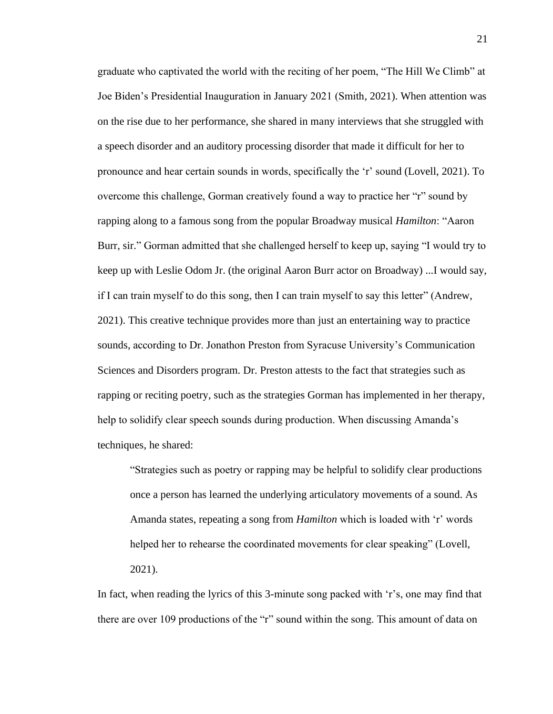graduate who captivated the world with the reciting of her poem, "The Hill We Climb" at Joe Biden's Presidential Inauguration in January 2021 (Smith, 2021). When attention was on the rise due to her performance, she shared in many interviews that she struggled with a speech disorder and an auditory processing disorder that made it difficult for her to pronounce and hear certain sounds in words, specifically the 'r' sound (Lovell, 2021). To overcome this challenge, Gorman creatively found a way to practice her "r" sound by rapping along to a famous song from the popular Broadway musical *Hamilton*: "Aaron Burr, sir." Gorman admitted that she challenged herself to keep up, saying "I would try to keep up with Leslie Odom Jr. (the original Aaron Burr actor on Broadway) ...I would say, if I can train myself to do this song, then I can train myself to say this letter" (Andrew, 2021). This creative technique provides more than just an entertaining way to practice sounds, according to Dr. Jonathon Preston from Syracuse University's Communication Sciences and Disorders program. Dr. Preston attests to the fact that strategies such as rapping or reciting poetry, such as the strategies Gorman has implemented in her therapy, help to solidify clear speech sounds during production. When discussing Amanda's techniques, he shared:

"Strategies such as poetry or rapping may be helpful to solidify clear productions once a person has learned the underlying articulatory movements of a sound. As Amanda states, repeating a song from *Hamilton* which is loaded with 'r' words helped her to rehearse the coordinated movements for clear speaking" (Lovell, 2021).

In fact, when reading the lyrics of this 3-minute song packed with 'r's, one may find that there are over 109 productions of the "r" sound within the song. This amount of data on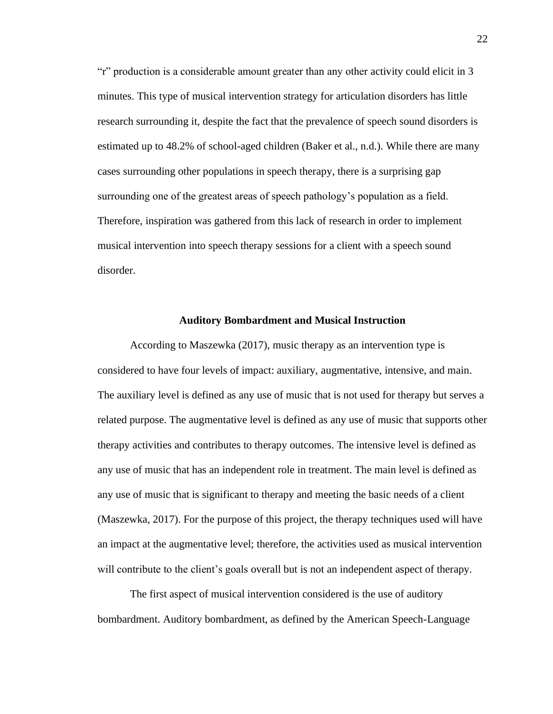"r" production is a considerable amount greater than any other activity could elicit in 3 minutes. This type of musical intervention strategy for articulation disorders has little research surrounding it, despite the fact that the prevalence of speech sound disorders is estimated up to 48.2% of school-aged children (Baker et al., n.d.). While there are many cases surrounding other populations in speech therapy, there is a surprising gap surrounding one of the greatest areas of speech pathology's population as a field. Therefore, inspiration was gathered from this lack of research in order to implement musical intervention into speech therapy sessions for a client with a speech sound disorder.

#### **Auditory Bombardment and Musical Instruction**

According to Maszewka (2017), music therapy as an intervention type is considered to have four levels of impact: auxiliary, augmentative, intensive, and main. The auxiliary level is defined as any use of music that is not used for therapy but serves a related purpose. The augmentative level is defined as any use of music that supports other therapy activities and contributes to therapy outcomes. The intensive level is defined as any use of music that has an independent role in treatment. The main level is defined as any use of music that is significant to therapy and meeting the basic needs of a client (Maszewka, 2017). For the purpose of this project, the therapy techniques used will have an impact at the augmentative level; therefore, the activities used as musical intervention will contribute to the client's goals overall but is not an independent aspect of therapy.

The first aspect of musical intervention considered is the use of auditory bombardment. Auditory bombardment, as defined by the American Speech-Language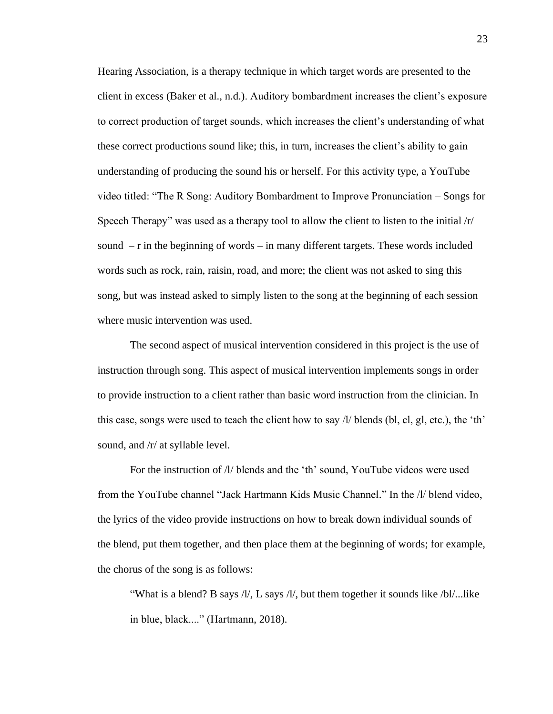Hearing Association, is a therapy technique in which target words are presented to the client in excess (Baker et al., n.d.). Auditory bombardment increases the client's exposure to correct production of target sounds, which increases the client's understanding of what these correct productions sound like; this, in turn, increases the client's ability to gain understanding of producing the sound his or herself. For this activity type, a YouTube video titled: "The R Song: Auditory Bombardment to Improve Pronunciation – Songs for Speech Therapy" was used as a therapy tool to allow the client to listen to the initial /r/ sound – r in the beginning of words – in many different targets. These words included words such as rock, rain, raisin, road, and more; the client was not asked to sing this song, but was instead asked to simply listen to the song at the beginning of each session where music intervention was used.

The second aspect of musical intervention considered in this project is the use of instruction through song. This aspect of musical intervention implements songs in order to provide instruction to a client rather than basic word instruction from the clinician. In this case, songs were used to teach the client how to say  $\frac{1}{1}$  blends (bl, cl, gl, etc.), the 'th' sound, and /r/ at syllable level.

For the instruction of  $\Lambda$  blends and the 'th' sound, YouTube videos were used from the YouTube channel "Jack Hartmann Kids Music Channel." In the /l/ blend video, the lyrics of the video provide instructions on how to break down individual sounds of the blend, put them together, and then place them at the beginning of words; for example, the chorus of the song is as follows:

"What is a blend? B says /l/, L says /l/, but them together it sounds like /bl/...like in blue, black...." (Hartmann, 2018).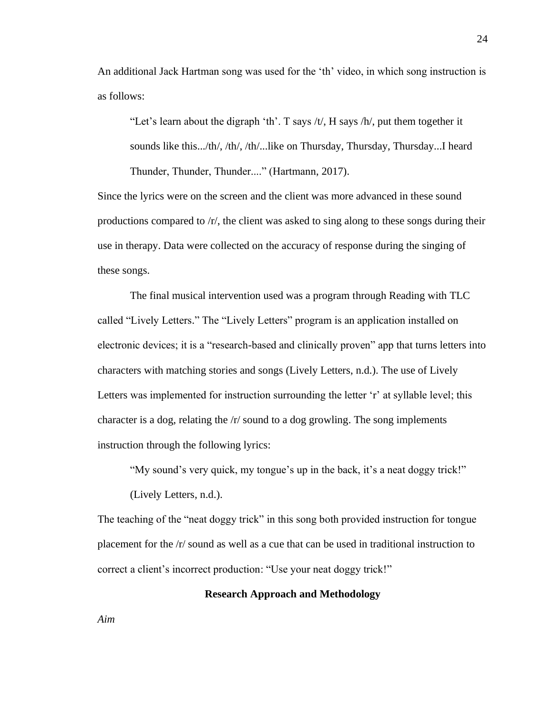An additional Jack Hartman song was used for the 'th' video, in which song instruction is as follows:

"Let's learn about the digraph 'th'. T says /t/, H says /h/, put them together it sounds like this.../th/, /th/, /th/...like on Thursday, Thursday, Thursday...I heard Thunder, Thunder, Thunder...." (Hartmann, 2017).

Since the lyrics were on the screen and the client was more advanced in these sound productions compared to /r/, the client was asked to sing along to these songs during their use in therapy. Data were collected on the accuracy of response during the singing of these songs.

The final musical intervention used was a program through Reading with TLC called "Lively Letters." The "Lively Letters" program is an application installed on electronic devices; it is a "research-based and clinically proven" app that turns letters into characters with matching stories and songs (Lively Letters, n.d.). The use of Lively Letters was implemented for instruction surrounding the letter 'r' at syllable level; this character is a dog, relating the /r/ sound to a dog growling. The song implements instruction through the following lyrics:

"My sound's very quick, my tongue's up in the back, it's a neat doggy trick!"

(Lively Letters, n.d.).

The teaching of the "neat doggy trick" in this song both provided instruction for tongue placement for the /r/ sound as well as a cue that can be used in traditional instruction to correct a client's incorrect production: "Use your neat doggy trick!"

**Research Approach and Methodology**

*Aim*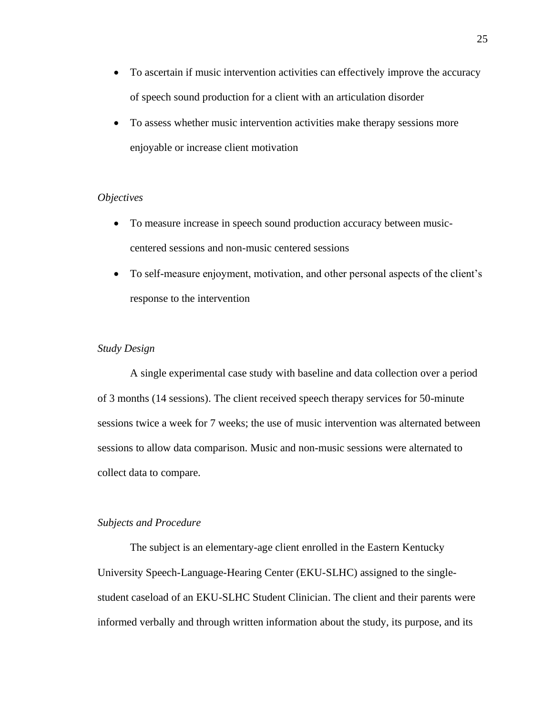- To ascertain if music intervention activities can effectively improve the accuracy of speech sound production for a client with an articulation disorder
- To assess whether music intervention activities make therapy sessions more enjoyable or increase client motivation

#### *Objectives*

- To measure increase in speech sound production accuracy between musiccentered sessions and non-music centered sessions
- To self-measure enjoyment, motivation, and other personal aspects of the client's response to the intervention

## *Study Design*

A single experimental case study with baseline and data collection over a period of 3 months (14 sessions). The client received speech therapy services for 50-minute sessions twice a week for 7 weeks; the use of music intervention was alternated between sessions to allow data comparison. Music and non-music sessions were alternated to collect data to compare.

# *Subjects and Procedure*

The subject is an elementary-age client enrolled in the Eastern Kentucky University Speech-Language-Hearing Center (EKU-SLHC) assigned to the singlestudent caseload of an EKU-SLHC Student Clinician. The client and their parents were informed verbally and through written information about the study, its purpose, and its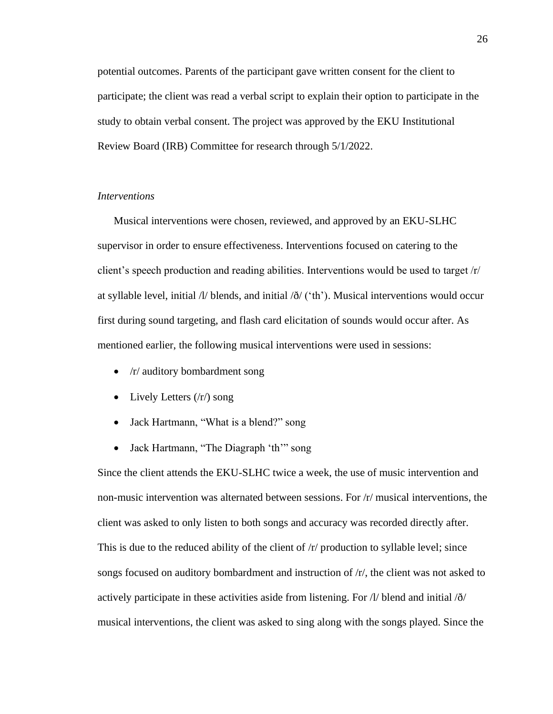potential outcomes. Parents of the participant gave written consent for the client to participate; the client was read a verbal script to explain their option to participate in the study to obtain verbal consent. The project was approved by the EKU Institutional Review Board (IRB) Committee for research through 5/1/2022.

# *Interventions*

Musical interventions were chosen, reviewed, and approved by an EKU-SLHC supervisor in order to ensure effectiveness. Interventions focused on catering to the client's speech production and reading abilities. Interventions would be used to target /r/ at syllable level, initial  $\frac{1}{l}$  blends, and initial  $\delta/$  ('th'). Musical interventions would occur first during sound targeting, and flash card elicitation of sounds would occur after. As mentioned earlier, the following musical interventions were used in sessions:

- /r/ auditory bombardment song
- Lively Letters  $(r/)$  song
- Jack Hartmann, "What is a blend?" song
- Jack Hartmann, "The Diagraph 'th'" song

Since the client attends the EKU-SLHC twice a week, the use of music intervention and non-music intervention was alternated between sessions. For /r/ musical interventions, the client was asked to only listen to both songs and accuracy was recorded directly after. This is due to the reduced ability of the client of /r/ production to syllable level; since songs focused on auditory bombardment and instruction of /r/, the client was not asked to actively participate in these activities aside from listening. For  $\Lambda$  blend and initial  $\delta$ musical interventions, the client was asked to sing along with the songs played. Since the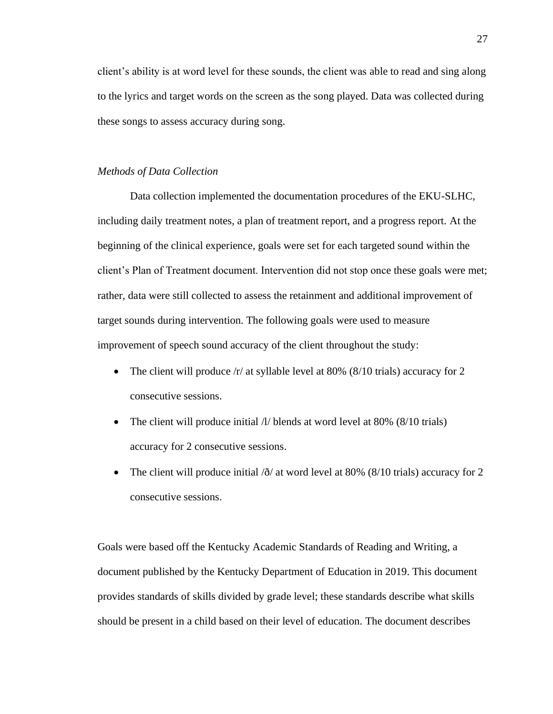client's ability is at word level for these sounds, the client was able to read and sing along to the lyrics and target words on the screen as the song played. Data was collected during these songs to assess accuracy during song.

#### *Methods of Data Collection*

Data collection implemented the documentation procedures of the EKU-SLHC, including daily treatment notes, a plan of treatment report, and a progress report. At the beginning of the clinical experience, goals were set for each targeted sound within the client's Plan of Treatment document. Intervention did not stop once these goals were met; rather, data were still collected to assess the retainment and additional improvement of target sounds during intervention. The following goals were used to measure improvement of speech sound accuracy of the client throughout the study:

- The client will produce  $/r/$  at syllable level at 80% (8/10 trials) accuracy for 2 consecutive sessions.
- The client will produce initial  $\frac{1}{1}$  blends at word level at 80% (8/10 trials) accuracy for 2 consecutive sessions.
- The client will produce initial  $\delta$  at word level at 80% (8/10 trials) accuracy for 2 consecutive sessions.

Goals were based off the Kentucky Academic Standards of Reading and Writing, a document published by the Kentucky Department of Education in 2019. This document provides standards of skills divided by grade level; these standards describe what skills should be present in a child based on their level of education. The document describes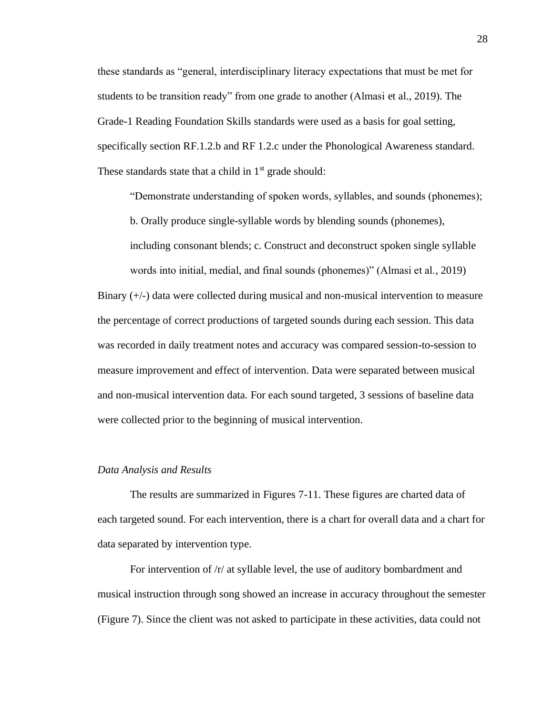these standards as "general, interdisciplinary literacy expectations that must be met for students to be transition ready" from one grade to another (Almasi et al., 2019). The Grade-1 Reading Foundation Skills standards were used as a basis for goal setting, specifically section RF.1.2.b and RF 1.2.c under the Phonological Awareness standard. These standards state that a child in  $1<sup>st</sup>$  grade should:

"Demonstrate understanding of spoken words, syllables, and sounds (phonemes);

b. Orally produce single-syllable words by blending sounds (phonemes),

including consonant blends; c. Construct and deconstruct spoken single syllable words into initial, medial, and final sounds (phonemes)" (Almasi et al., 2019)

Binary (+/-) data were collected during musical and non-musical intervention to measure the percentage of correct productions of targeted sounds during each session. This data was recorded in daily treatment notes and accuracy was compared session-to-session to measure improvement and effect of intervention. Data were separated between musical and non-musical intervention data. For each sound targeted, 3 sessions of baseline data were collected prior to the beginning of musical intervention.

#### *Data Analysis and Results*

The results are summarized in Figures 7-11. These figures are charted data of each targeted sound. For each intervention, there is a chart for overall data and a chart for data separated by intervention type.

For intervention of /r/ at syllable level, the use of auditory bombardment and musical instruction through song showed an increase in accuracy throughout the semester (Figure 7). Since the client was not asked to participate in these activities, data could not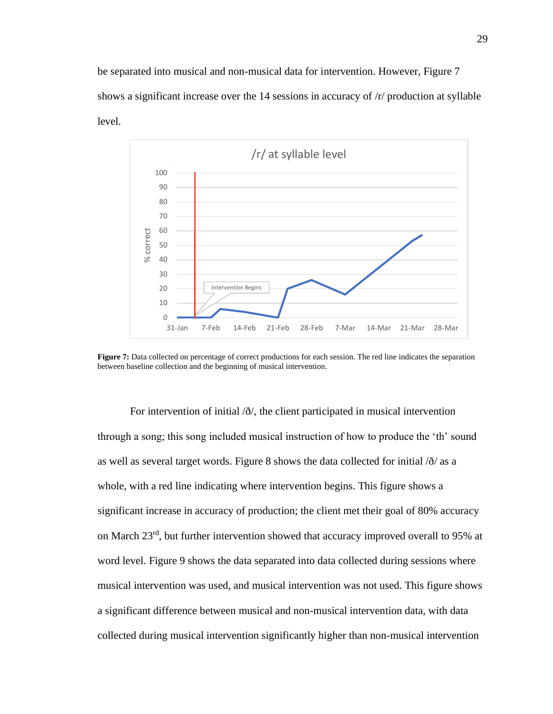be separated into musical and non-musical data for intervention. However, Figure 7 shows a significant increase over the 14 sessions in accuracy of /r/ production at syllable level.



Figure 7: Data collected on percentage of correct productions for each session. The red line indicates the separation between baseline collection and the beginning of musical intervention.

For intervention of initial  $\delta/$ , the client participated in musical intervention through a song; this song included musical instruction of how to produce the 'th' sound as well as several target words. Figure 8 shows the data collected for initial  $\partial \theta$  as a whole, with a red line indicating where intervention begins. This figure shows a significant increase in accuracy of production; the client met their goal of 80% accuracy on March 23<sup>rd</sup>, but further intervention showed that accuracy improved overall to 95% at word level. Figure 9 shows the data separated into data collected during sessions where musical intervention was used, and musical intervention was not used. This figure shows a significant difference between musical and non-musical intervention data, with data collected during musical intervention significantly higher than non-musical intervention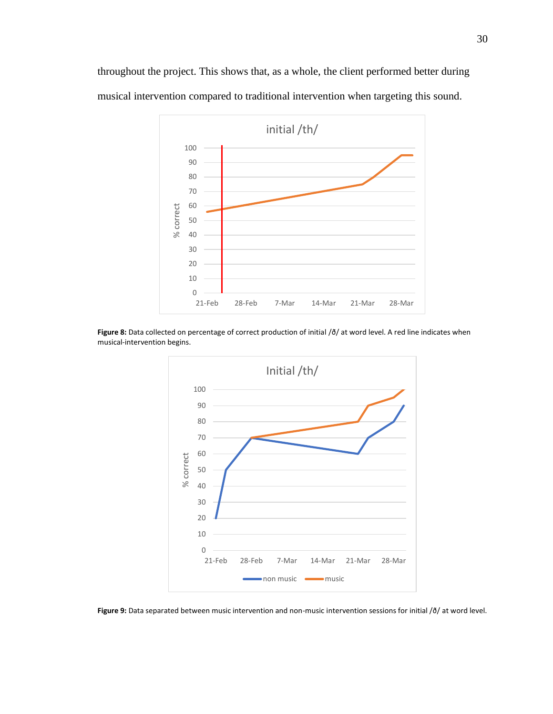

throughout the project. This shows that, as a whole, the client performed better during musical intervention compared to traditional intervention when targeting this sound.

Figure 8: Data collected on percentage of correct production of initial / $\delta$ / at word level. A red line indicates when musical-intervention begins.



**Figure 9:** Data separated between music intervention and non-music intervention sessions for initial /ð/ at word level.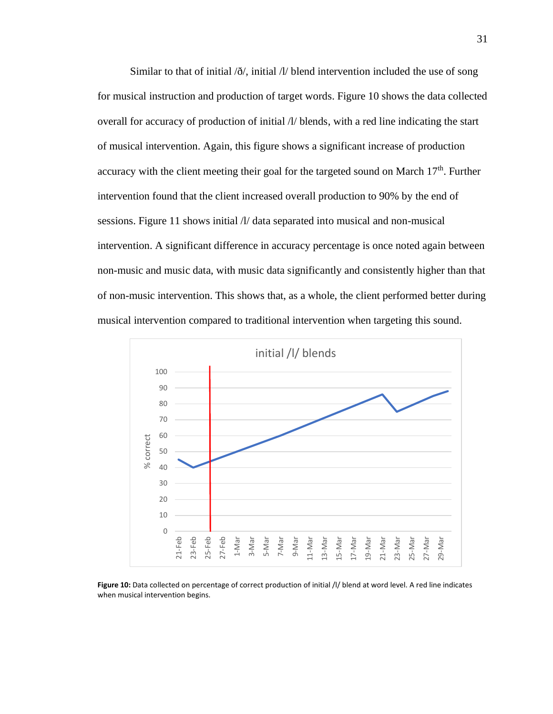Similar to that of initial  $\delta/$ , initial  $\Lambda/$  blend intervention included the use of song for musical instruction and production of target words. Figure 10 shows the data collected overall for accuracy of production of initial /l/ blends, with a red line indicating the start of musical intervention. Again, this figure shows a significant increase of production accuracy with the client meeting their goal for the targeted sound on March 17<sup>th</sup>. Further intervention found that the client increased overall production to 90% by the end of sessions. Figure 11 shows initial /l/ data separated into musical and non-musical intervention. A significant difference in accuracy percentage is once noted again between non-music and music data, with music data significantly and consistently higher than that of non-music intervention. This shows that, as a whole, the client performed better during musical intervention compared to traditional intervention when targeting this sound.



Figure 10: Data collected on percentage of correct production of initial /l/ blend at word level. A red line indicates when musical intervention begins.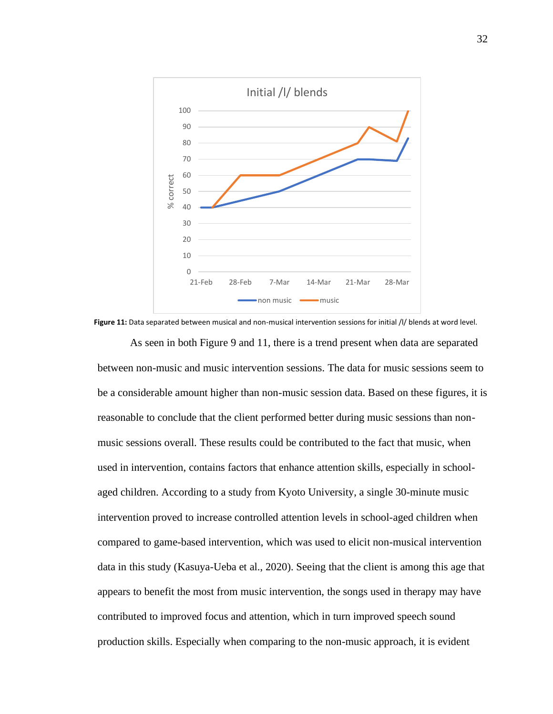

As seen in both Figure 9 and 11, there is a trend present when data are separated **Figure 11:** Data separated between musical and non-musical intervention sessions for initial /l/ blends at word level.

between non-music and music intervention sessions. The data for music sessions seem to be a considerable amount higher than non-music session data. Based on these figures, it is reasonable to conclude that the client performed better during music sessions than nonmusic sessions overall. These results could be contributed to the fact that music, when used in intervention, contains factors that enhance attention skills, especially in schoolaged children. According to a study from Kyoto University, a single 30-minute music intervention proved to increase controlled attention levels in school-aged children when compared to game-based intervention, which was used to elicit non-musical intervention data in this study (Kasuya-Ueba et al., 2020). Seeing that the client is among this age that appears to benefit the most from music intervention, the songs used in therapy may have contributed to improved focus and attention, which in turn improved speech sound production skills. Especially when comparing to the non-music approach, it is evident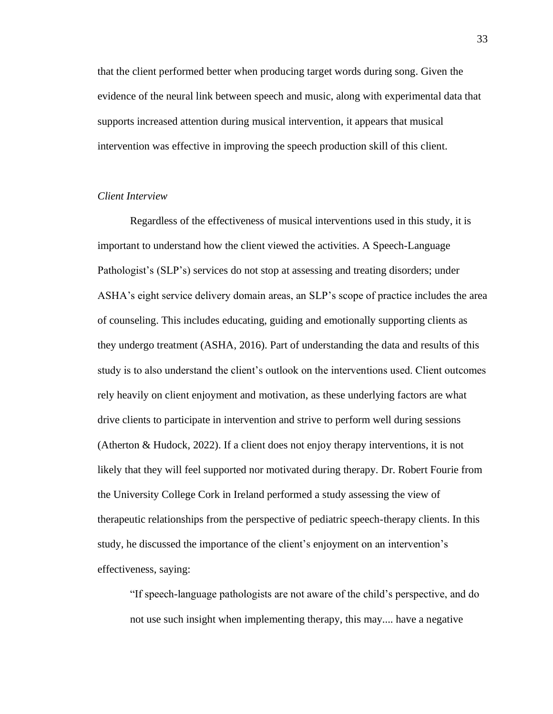that the client performed better when producing target words during song. Given the evidence of the neural link between speech and music, along with experimental data that supports increased attention during musical intervention, it appears that musical intervention was effective in improving the speech production skill of this client.

## *Client Interview*

Regardless of the effectiveness of musical interventions used in this study, it is important to understand how the client viewed the activities. A Speech-Language Pathologist's (SLP's) services do not stop at assessing and treating disorders; under ASHA's eight service delivery domain areas, an SLP's scope of practice includes the area of counseling. This includes educating, guiding and emotionally supporting clients as they undergo treatment (ASHA, 2016). Part of understanding the data and results of this study is to also understand the client's outlook on the interventions used. Client outcomes rely heavily on client enjoyment and motivation, as these underlying factors are what drive clients to participate in intervention and strive to perform well during sessions (Atherton & Hudock, 2022). If a client does not enjoy therapy interventions, it is not likely that they will feel supported nor motivated during therapy. Dr. Robert Fourie from the University College Cork in Ireland performed a study assessing the view of therapeutic relationships from the perspective of pediatric speech-therapy clients. In this study, he discussed the importance of the client's enjoyment on an intervention's effectiveness, saying:

"If speech-language pathologists are not aware of the child's perspective, and do not use such insight when implementing therapy, this may.... have a negative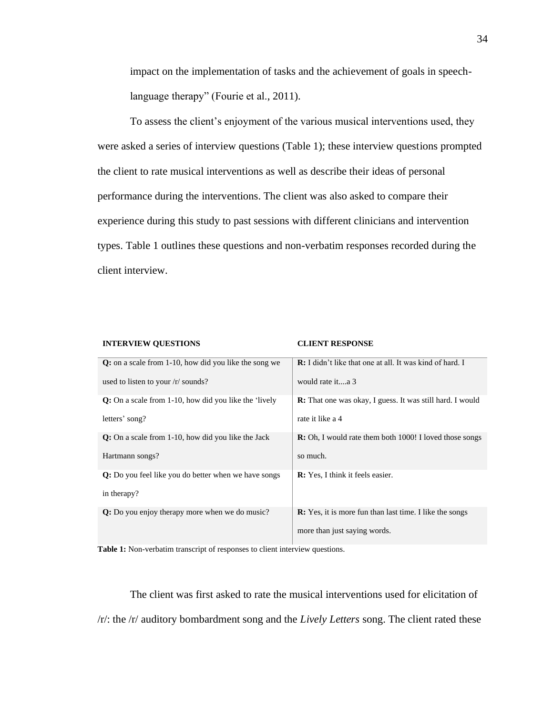impact on the implementation of tasks and the achievement of goals in speechlanguage therapy" (Fourie et al., 2011).

To assess the client's enjoyment of the various musical interventions used, they were asked a series of interview questions (Table 1); these interview questions prompted the client to rate musical interventions as well as describe their ideas of personal performance during the interventions. The client was also asked to compare their experience during this study to past sessions with different clinicians and intervention types. Table 1 outlines these questions and non-verbatim responses recorded during the client interview.

| <b>INTERVIEW QUESTIONS</b>                              | <b>CLIENT RESPONSE</b>                                           |
|---------------------------------------------------------|------------------------------------------------------------------|
| $Q:$ on a scale from 1-10, how did you like the song we | <b>R:</b> I didn't like that one at all. It was kind of hard. I  |
| used to listen to your $/r$ sounds?                     | would rate ita 3                                                 |
| Q: On a scale from 1-10, how did you like the 'lively   | <b>R:</b> That one was okay, I guess. It was still hard. I would |
| letters' song?                                          | rate it like a 4                                                 |
| Q: On a scale from 1-10, how did you like the Jack      | <b>R:</b> Oh, I would rate them both 1000! I loved those songs   |
| Hartmann songs?                                         | so much.                                                         |
| Q: Do you feel like you do better when we have songs    | <b>R:</b> Yes, I think it feels easier.                          |
| in therapy?                                             |                                                                  |
| Q: Do you enjoy therapy more when we do music?          | <b>R:</b> Yes, it is more fun than last time. I like the songs   |
|                                                         | more than just saying words.                                     |

**Table 1:** Non-verbatim transcript of responses to client interview questions.

The client was first asked to rate the musical interventions used for elicitation of /r/: the /r/ auditory bombardment song and the *Lively Letters* song. The client rated these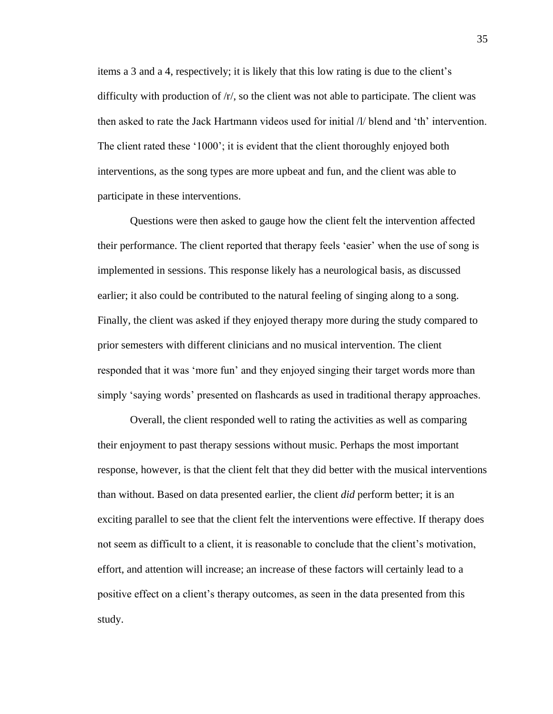items a 3 and a 4, respectively; it is likely that this low rating is due to the client's difficulty with production of  $/r<sub>1</sub>$ , so the client was not able to participate. The client was then asked to rate the Jack Hartmann videos used for initial /l/ blend and 'th' intervention. The client rated these '1000'; it is evident that the client thoroughly enjoyed both interventions, as the song types are more upbeat and fun, and the client was able to participate in these interventions.

Questions were then asked to gauge how the client felt the intervention affected their performance. The client reported that therapy feels 'easier' when the use of song is implemented in sessions. This response likely has a neurological basis, as discussed earlier; it also could be contributed to the natural feeling of singing along to a song. Finally, the client was asked if they enjoyed therapy more during the study compared to prior semesters with different clinicians and no musical intervention. The client responded that it was 'more fun' and they enjoyed singing their target words more than simply 'saying words' presented on flashcards as used in traditional therapy approaches.

Overall, the client responded well to rating the activities as well as comparing their enjoyment to past therapy sessions without music. Perhaps the most important response, however, is that the client felt that they did better with the musical interventions than without. Based on data presented earlier, the client *did* perform better; it is an exciting parallel to see that the client felt the interventions were effective. If therapy does not seem as difficult to a client, it is reasonable to conclude that the client's motivation, effort, and attention will increase; an increase of these factors will certainly lead to a positive effect on a client's therapy outcomes, as seen in the data presented from this study.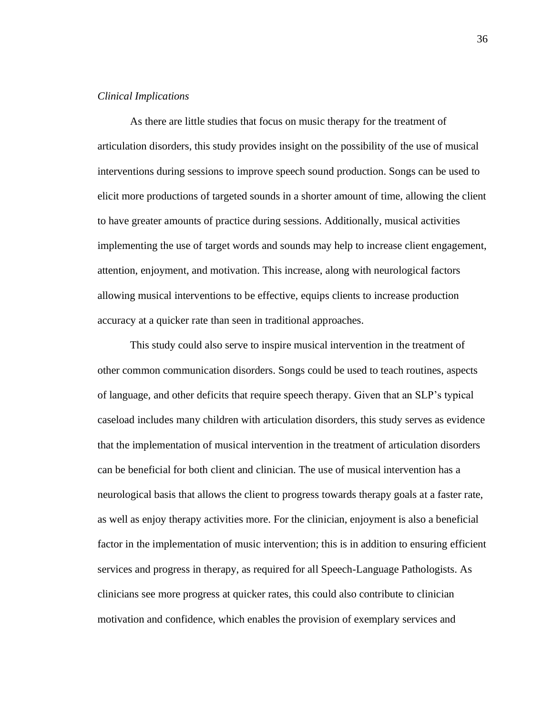# *Clinical Implications*

As there are little studies that focus on music therapy for the treatment of articulation disorders, this study provides insight on the possibility of the use of musical interventions during sessions to improve speech sound production. Songs can be used to elicit more productions of targeted sounds in a shorter amount of time, allowing the client to have greater amounts of practice during sessions. Additionally, musical activities implementing the use of target words and sounds may help to increase client engagement, attention, enjoyment, and motivation. This increase, along with neurological factors allowing musical interventions to be effective, equips clients to increase production accuracy at a quicker rate than seen in traditional approaches.

This study could also serve to inspire musical intervention in the treatment of other common communication disorders. Songs could be used to teach routines, aspects of language, and other deficits that require speech therapy. Given that an SLP's typical caseload includes many children with articulation disorders, this study serves as evidence that the implementation of musical intervention in the treatment of articulation disorders can be beneficial for both client and clinician. The use of musical intervention has a neurological basis that allows the client to progress towards therapy goals at a faster rate, as well as enjoy therapy activities more. For the clinician, enjoyment is also a beneficial factor in the implementation of music intervention; this is in addition to ensuring efficient services and progress in therapy, as required for all Speech-Language Pathologists. As clinicians see more progress at quicker rates, this could also contribute to clinician motivation and confidence, which enables the provision of exemplary services and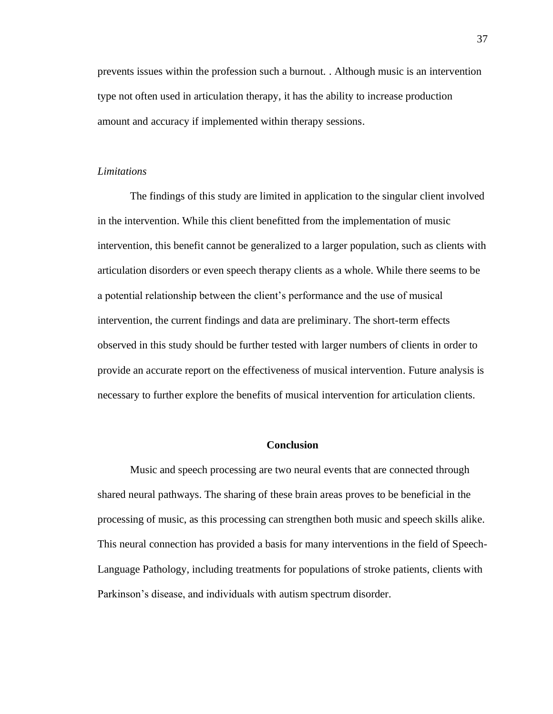prevents issues within the profession such a burnout. . Although music is an intervention type not often used in articulation therapy, it has the ability to increase production amount and accuracy if implemented within therapy sessions.

## *Limitations*

The findings of this study are limited in application to the singular client involved in the intervention. While this client benefitted from the implementation of music intervention, this benefit cannot be generalized to a larger population, such as clients with articulation disorders or even speech therapy clients as a whole. While there seems to be a potential relationship between the client's performance and the use of musical intervention, the current findings and data are preliminary. The short-term effects observed in this study should be further tested with larger numbers of clients in order to provide an accurate report on the effectiveness of musical intervention. Future analysis is necessary to further explore the benefits of musical intervention for articulation clients.

#### **Conclusion**

Music and speech processing are two neural events that are connected through shared neural pathways. The sharing of these brain areas proves to be beneficial in the processing of music, as this processing can strengthen both music and speech skills alike. This neural connection has provided a basis for many interventions in the field of Speech-Language Pathology, including treatments for populations of stroke patients, clients with Parkinson's disease, and individuals with autism spectrum disorder.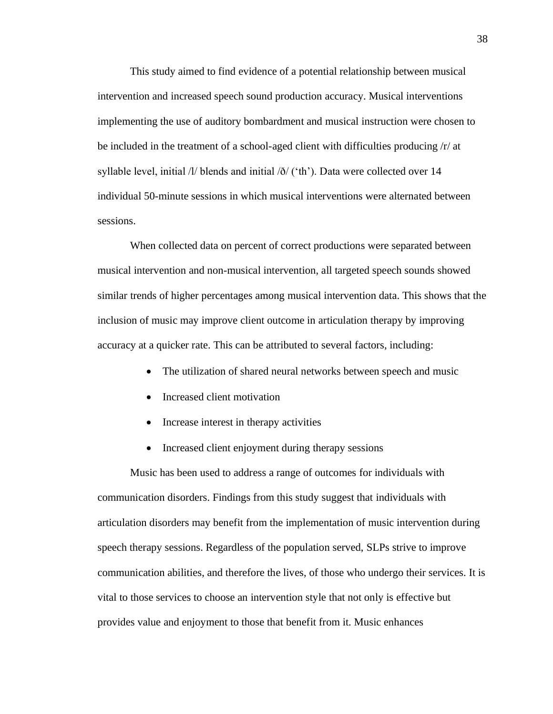This study aimed to find evidence of a potential relationship between musical intervention and increased speech sound production accuracy. Musical interventions implementing the use of auditory bombardment and musical instruction were chosen to be included in the treatment of a school-aged client with difficulties producing /r/ at syllable level, initial  $\frac{1}{1}$  blends and initial  $\frac{\delta}{\delta}$  ('th'). Data were collected over 14 individual 50-minute sessions in which musical interventions were alternated between sessions.

When collected data on percent of correct productions were separated between musical intervention and non-musical intervention, all targeted speech sounds showed similar trends of higher percentages among musical intervention data. This shows that the inclusion of music may improve client outcome in articulation therapy by improving accuracy at a quicker rate. This can be attributed to several factors, including:

- The utilization of shared neural networks between speech and music
- Increased client motivation
- Increase interest in therapy activities
- Increased client enjoyment during therapy sessions

Music has been used to address a range of outcomes for individuals with communication disorders. Findings from this study suggest that individuals with articulation disorders may benefit from the implementation of music intervention during speech therapy sessions. Regardless of the population served, SLPs strive to improve communication abilities, and therefore the lives, of those who undergo their services. It is vital to those services to choose an intervention style that not only is effective but provides value and enjoyment to those that benefit from it. Music enhances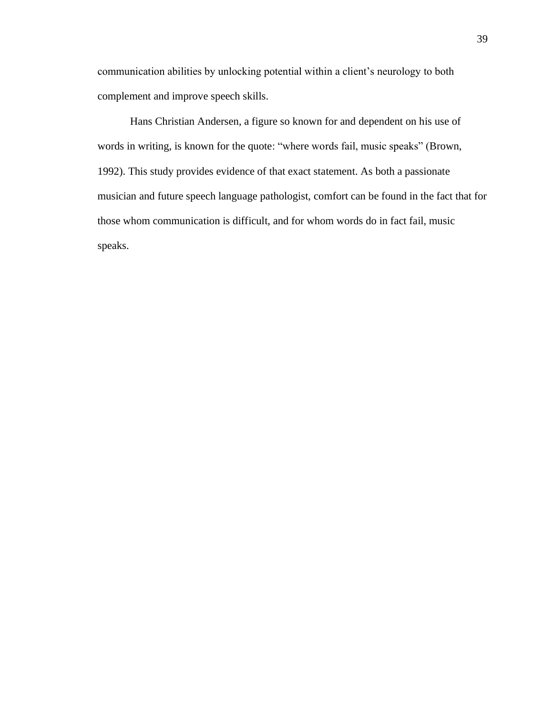communication abilities by unlocking potential within a client's neurology to both complement and improve speech skills.

Hans Christian Andersen, a figure so known for and dependent on his use of words in writing, is known for the quote: "where words fail, music speaks" (Brown, 1992). This study provides evidence of that exact statement. As both a passionate musician and future speech language pathologist, comfort can be found in the fact that for those whom communication is difficult, and for whom words do in fact fail, music speaks.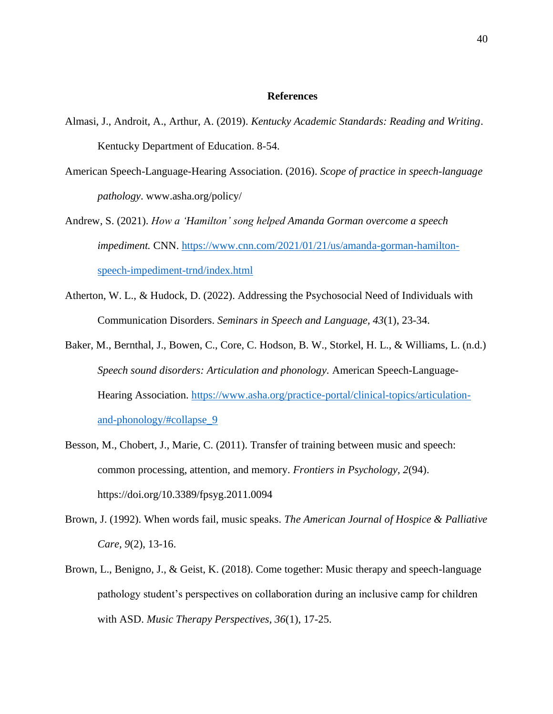#### **References**

- Almasi, J., Androit, A., Arthur, A. (2019). *Kentucky Academic Standards: Reading and Writing*. Kentucky Department of Education. 8-54.
- American Speech-Language-Hearing Association. (2016). *Scope of practice in speech-language pathology*. www.asha.org/policy/
- Andrew, S. (2021). *How a 'Hamilton' song helped Amanda Gorman overcome a speech impediment.* CNN. [https://www.cnn.com/2021/01/21/us/amanda-gorman-hamilton](https://www.cnn.com/2021/01/21/us/amanda-gorman-hamilton-speech-impediment-trnd/index.html)[speech-impediment-trnd/index.html](https://www.cnn.com/2021/01/21/us/amanda-gorman-hamilton-speech-impediment-trnd/index.html)
- Atherton, W. L., & Hudock, D. (2022). Addressing the Psychosocial Need of Individuals with Communication Disorders. *Seminars in Speech and Language, 43*(1), 23-34.
- Baker, M., Bernthal, J., Bowen, C., Core, C. Hodson, B. W., Storkel, H. L., & Williams, L. (n.d.) *Speech sound disorders: Articulation and phonology.* American Speech-LanguageHearing Association. [https://www.asha.org/practice-portal/clinical-topics/articulation](https://www.asha.org/practice-portal/clinical-topics/articulation-and-phonology/#collapse_9)[and-phonology/#collapse\\_9](https://www.asha.org/practice-portal/clinical-topics/articulation-and-phonology/#collapse_9)
- Besson, M., Chobert, J., Marie, C. (2011). Transfer of training between music and speech: common processing, attention, and memory. *Frontiers in Psychology, 2*(94). https://doi.org/10.3389/fpsyg.2011.0094
- Brown, J. (1992). When words fail, music speaks. *The American Journal of Hospice & Palliative Care, 9*(2), 13-16.
- Brown, L., Benigno, J., & Geist, K. (2018). Come together: Music therapy and speech-language pathology student's perspectives on collaboration during an inclusive camp for children with ASD. *Music Therapy Perspectives, 36*(1), 17-25.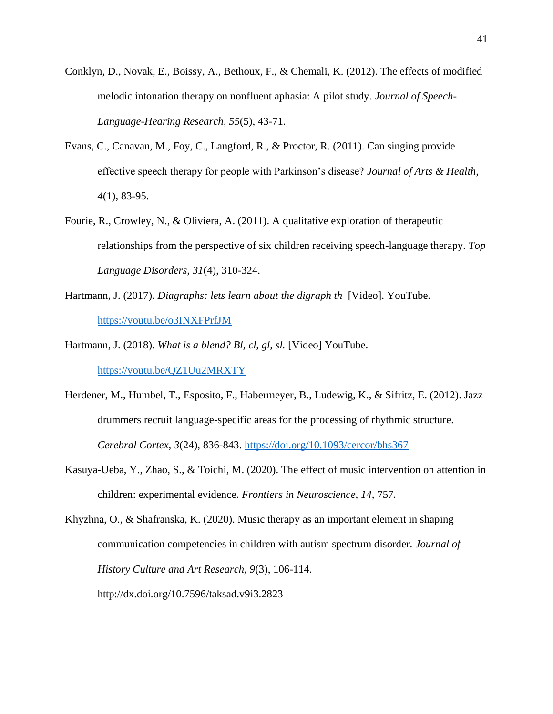- Conklyn, D., Novak, E., Boissy, A., Bethoux, F., & Chemali, K. (2012). The effects of modified melodic intonation therapy on nonfluent aphasia: A pilot study. *Journal of Speech-Language-Hearing Research, 55*(5), 43-71.
- Evans, C., Canavan, M., Foy, C., Langford, R., & Proctor, R. (2011). Can singing provide effective speech therapy for people with Parkinson's disease? *Journal of Arts & Health, 4*(1), 83-95.
- Fourie, R., Crowley, N., & Oliviera, A. (2011). A qualitative exploration of therapeutic relationships from the perspective of six children receiving speech-language therapy. *Top Language Disorders, 31*(4), 310-324.
- Hartmann, J. (2017). *Diagraphs: lets learn about the digraph th* [Video]. YouTube. <https://youtu.be/o3INXFPrfJM>
- Hartmann, J. (2018). *What is a blend? Bl, cl, gl, sl.* [Video] YouTube. <https://youtu.be/QZ1Uu2MRXTY>
- Herdener, M., Humbel, T., Esposito, F., Habermeyer, B., Ludewig, K., & Sifritz, E. (2012). Jazz drummers recruit language-specific areas for the processing of rhythmic structure. *Cerebral Cortex, 3*(24), 836-843.<https://doi.org/10.1093/cercor/bhs367>
- Kasuya-Ueba, Y., Zhao, S., & Toichi, M. (2020). The effect of music intervention on attention in children: experimental evidence. *Frontiers in Neuroscience, 14,* 757*.*

Khyzhna, O., & Shafranska, K. (2020). Music therapy as an important element in shaping communication competencies in children with autism spectrum disorder. *Journal of History Culture and Art Research, 9*(3), 106-114. http://dx.doi.org/10.7596/taksad.v9i3.2823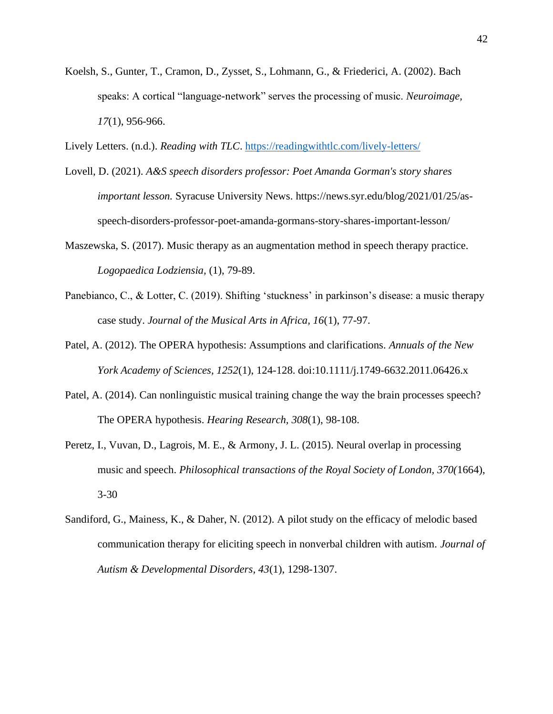- Koelsh, S., Gunter, T., Cramon, D., Zysset, S., Lohmann, G., & Friederici, A. (2002). Bach speaks: A cortical "language-network" serves the processing of music. *Neuroimage, 17*(1), 956-966.
- Lively Letters. (n.d.). *Reading with TLC*.<https://readingwithtlc.com/lively-letters/>
- Lovell, D. (2021). *A&S speech disorders professor: Poet Amanda Gorman's story shares important lesson.* Syracuse University News. https://news.syr.edu/blog/2021/01/25/asspeech-disorders-professor-poet-amanda-gormans-story-shares-important-lesson/
- Maszewska, S. (2017). Music therapy as an augmentation method in speech therapy practice. *Logopaedica Lodziensia,* (1), 79-89.
- Panebianco, C., & Lotter, C. (2019). Shifting 'stuckness' in parkinson's disease: a music therapy case study. *Journal of the Musical Arts in Africa, 16*(1), 77-97.
- Patel, A. (2012). The OPERA hypothesis: Assumptions and clarifications. *Annuals of the New York Academy of Sciences, 1252*(1), 124-128. doi:10.1111/j.1749-6632.2011.06426.x
- Patel, A. (2014). Can nonlinguistic musical training change the way the brain processes speech? The OPERA hypothesis. *Hearing Research, 308*(1), 98-108.
- Peretz, I., Vuvan, D., Lagrois, M. E., & Armony, J. L. (2015). Neural overlap in processing music and speech. *Philosophical transactions of the Royal Society of London, 370(*1664), 3-30
- Sandiford, G., Mainess, K., & Daher, N. (2012). A pilot study on the efficacy of melodic based communication therapy for eliciting speech in nonverbal children with autism. *Journal of Autism & Developmental Disorders, 43*(1), 1298-1307.